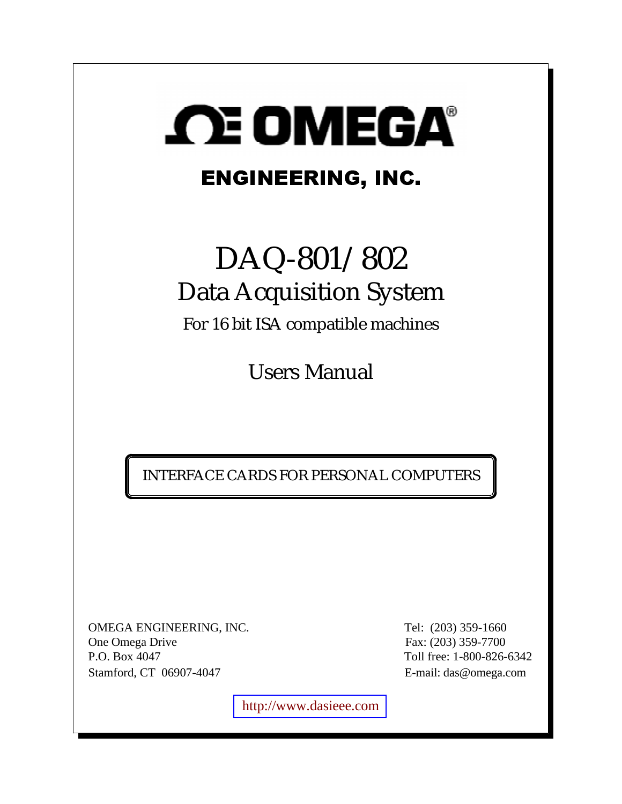

# ENGINEERING, INC.

# DAQ-801/802 Data Acquisition System

For 16 bit ISA compatible machines

Users Manual

INTERFACE CARDS FOR PERSONAL COMPUTERS

OMEGA ENGINEERING, INC. Tel: (203) 359-1660 One Omega Drive Fax: (203) 359-7700 P.O. Box 4047 Toll free: 1-800-826-6342 Stamford, CT 06907-4047 E-mail: das@omega.com

[http://www.dasieee.com](http://www.dasieee.com/)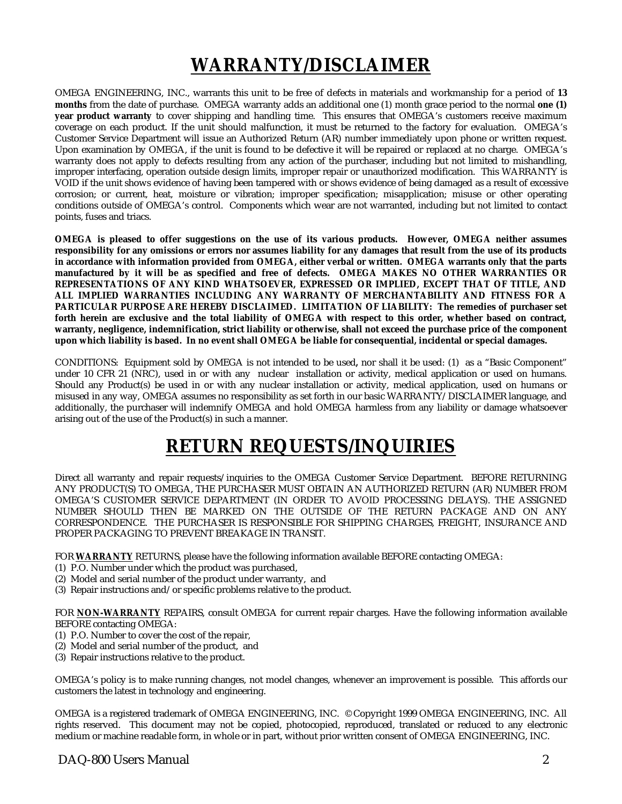# **WARRANTY/DISCLAIMER**

OMEGA ENGINEERING, INC., warrants this unit to be free of defects in materials and workmanship for a period of **13 months** from the date of purchase. OMEGA warranty adds an additional one (1) month grace period to the normal **one (1) year product warranty** to cover shipping and handling time. This ensures that OMEGA's customers receive maximum coverage on each product. If the unit should malfunction, it must be returned to the factory for evaluation. OMEGA's Customer Service Department will issue an Authorized Return (AR) number immediately upon phone or written request. Upon examination by OMEGA, if the unit is found to be defective it will be repaired or replaced at no charge. OMEGA's warranty does not apply to defects resulting from any action of the purchaser, including but not limited to mishandling, improper interfacing, operation outside design limits, improper repair or unauthorized modification. This WARRANTY is VOID if the unit shows evidence of having been tampered with or shows evidence of being damaged as a result of excessive corrosion; or current, heat, moisture or vibration; improper specification; misapplication; misuse or other operating conditions outside of OMEGA's control. Components which wear are not warranted, including but not limited to contact points, fuses and triacs.

**OMEGA is pleased to offer suggestions on the use of its various products. However, OMEGA neither assumes responsibility for any omissions or errors nor assumes liability for any damages that result from the use of its products in accordance with information provided from OMEGA, either verbal or written. OMEGA warrants only that the parts manufactured by it will be as specified and free of defects. OMEGA MAKES NO OTHER WARRANTIES OR REPRESENTATIONS OF ANY KIND WHATSOEVER, EXPRESSED OR IMPLIED, EXCEPT THAT OF TITLE, AND ALL IMPLIED WARRANTIES INCLUDING ANY WARRANTY OF MERCHANTABILITY AND FITNESS FOR A PARTICULAR PURPOSE ARE HEREBY DISCLAIMED. LIMITATION OF LIABILITY: The remedies of purchaser set forth herein are exclusive and the total liability of OMEGA with respect to this order, whether based on contract, warranty, negligence, indemnification, strict liability or otherwise, shall not exceed the purchase price of the component upon which liability is based. In no event shall OMEGA be liable for consequential, incidental or special damages.**

CONDITIONS: Equipment sold by OMEGA is not intended to be used**,** nor shall it be used: (1) as a "Basic Component" under 10 CFR 21 (NRC), used in or with any nuclear installation or activity, medical application or used on humans. Should any Product(s) be used in or with any nuclear installation or activity, medical application, used on humans or misused in any way, OMEGA assumes no responsibility as set forth in our basic WARRANTY/DISCLAIMER language, and additionally, the purchaser will indemnify OMEGA and hold OMEGA harmless from any liability or damage whatsoever arising out of the use of the Product(s) in such a manner.

# **RETURN REQUESTS/INQUIRIES**

Direct all warranty and repair requests/inquiries to the OMEGA Customer Service Department. BEFORE RETURNING ANY PRODUCT(S) TO OMEGA, THE PURCHASER MUST OBTAIN AN AUTHORIZED RETURN (AR) NUMBER FROM OMEGA'S CUSTOMER SERVICE DEPARTMENT (IN ORDER TO AVOID PROCESSING DELAYS). THE ASSIGNED NUMBER SHOULD THEN BE MARKED ON THE OUTSIDE OF THE RETURN PACKAGE AND ON ANY CORRESPONDENCE. THE PURCHASER IS RESPONSIBLE FOR SHIPPING CHARGES, FREIGHT, INSURANCE AND PROPER PACKAGING TO PREVENT BREAKAGE IN TRANSIT.

FOR **WARRANTY** RETURNS, please have the following information available BEFORE contacting OMEGA:

- (1) P.O. Number under which the product was purchased,
- (2) Model and serial number of the product under warranty, and
- (3) Repair instructions and/or specific problems relative to the product.

FOR **NON-WARRANTY** REPAIRS, consult OMEGA for current repair charges. Have the following information available BEFORE contacting OMEGA:

- (1) P.O. Number to cover the cost of the repair,
- (2) Model and serial number of the product, and
- (3) Repair instructions relative to the product.

OMEGA's policy is to make running changes, not model changes, whenever an improvement is possible. This affords our customers the latest in technology and engineering.

OMEGA is a registered trademark of OMEGA ENGINEERING, INC. © Copyright 1999 OMEGA ENGINEERING, INC. All rights reserved. This document may not be copied, photocopied, reproduced, translated or reduced to any electronic medium or machine readable form, in whole or in part, without prior written consent of OMEGA ENGINEERING, INC.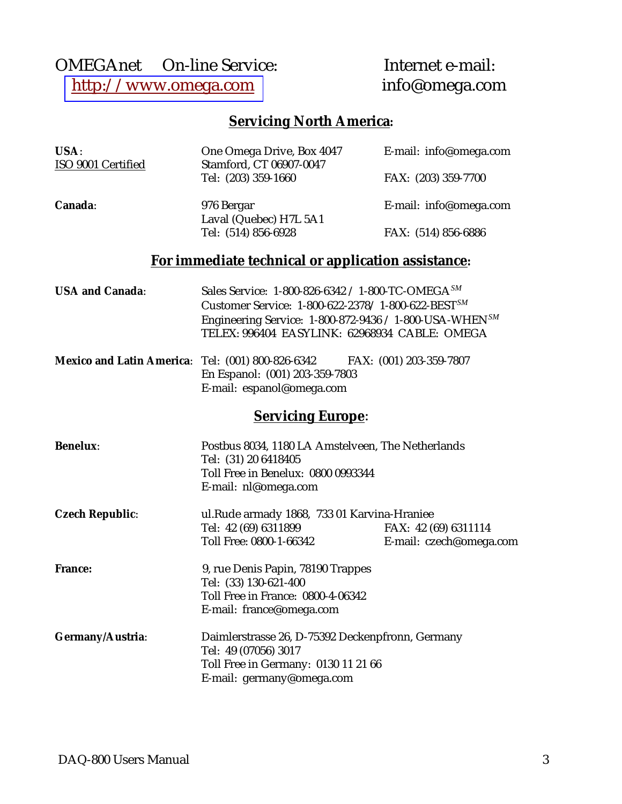# OMEGAnet<br>
© On-line Service: Internet e-mail:<br>
http://www.omega.com info@omega.com [http://www.omega.com](http://www.omega.com/)

# **Servicing North America:**

| USA:                   | One Omega Drive, Box 4047                                                                                                                                                                                                                         | E-mail: info@omega.com                          |
|------------------------|---------------------------------------------------------------------------------------------------------------------------------------------------------------------------------------------------------------------------------------------------|-------------------------------------------------|
| ISO 9001 Certified     | Stamford, CT 06907-0047<br>Tel: (203) 359-1660                                                                                                                                                                                                    | FAX: (203) 359-7700                             |
| Canada:                | 976 Bergar                                                                                                                                                                                                                                        | E-mail: info@omega.com                          |
|                        | Laval (Quebec) H7L 5A1<br>Tel: (514) 856-6928                                                                                                                                                                                                     | FAX: (514) 856-6886                             |
|                        | For immediate technical or application assistance:                                                                                                                                                                                                |                                                 |
| <b>USA and Canada:</b> | Sales Service: 1-800-826-6342 / 1-800-TC-OMEGA <sup>SM</sup><br>Customer Service: 1-800-622-2378/1-800-622-BEST <sup>SM</sup><br>Engineering Service: $1-800-872-9436 / 1-800$ -USA-WHEN $^{SM}$<br>TELEX: 996404 EASYLINK: 62968934 CABLE: OMEGA |                                                 |
|                        | <b>Mexico and Latin America:</b> Tel: (001) 800-826-6342 FAX: (001) 203-359-7807<br>En Espanol: (001) 203-359-7803<br>E-mail: espanol@omega.com                                                                                                   |                                                 |
|                        | <b>Servicing Europe:</b>                                                                                                                                                                                                                          |                                                 |
| <b>Benelux:</b>        | Postbus 8034, 1180 LA Amstelveen, The Netherlands<br>Tel: (31) 20 6418405<br>Toll Free in Benelux: 0800 0993344<br>E-mail: nl@omega.com                                                                                                           |                                                 |
| <b>Czech Republic:</b> | ul.Rude armady 1868, 733 01 Karvina-Hraniee<br>Tel: 42 (69) 6311899<br>Toll Free: 0800-1-66342                                                                                                                                                    | FAX: 42 (69) 6311114<br>E-mail: czech@omega.com |
| <b>France:</b>         | 9, rue Denis Papin, 78190 Trappes<br>Tel: (33) 130-621-400<br>Toll Free in France: 0800-4-06342<br>E-mail: france@omega.com                                                                                                                       |                                                 |
| Germany/Austria:       | Daimlerstrasse 26, D-75392 Deckenpfronn, Germany<br>Tel: 49 (07056) 3017<br>Toll Free in Germany: 0130 11 21 66<br>E-mail: germany@omega.com                                                                                                      |                                                 |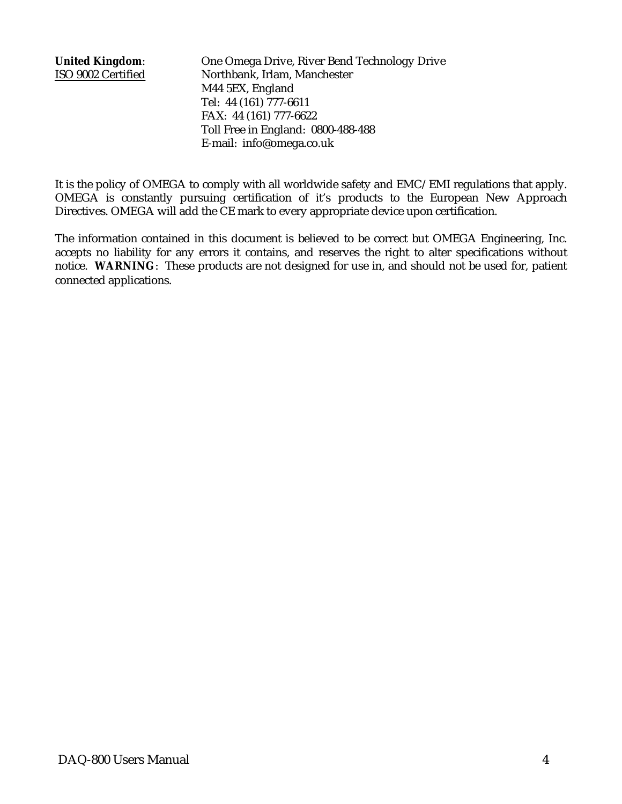**United Kingdom**: One Omega Drive, River Bend Technology Drive ISO 9002 Certified Northbank, Irlam, Manchester M44 5EX, England Tel: 44 (161) 777-6611 FAX: 44 (161) 777-6622 Toll Free in England: 0800-488-488 E-mail: info@omega.co.uk

It is the policy of OMEGA to comply with all worldwide safety and EMC/EMI regulations that apply. OMEGA is constantly pursuing certification of it's products to the European New Approach Directives. OMEGA will add the CE mark to every appropriate device upon certification.

The information contained in this document is believed to be correct but OMEGA Engineering, Inc. accepts no liability for any errors it contains, and reserves the right to alter specifications without notice. **WARNING**: These products are not designed for use in, and should not be used for, patient connected applications.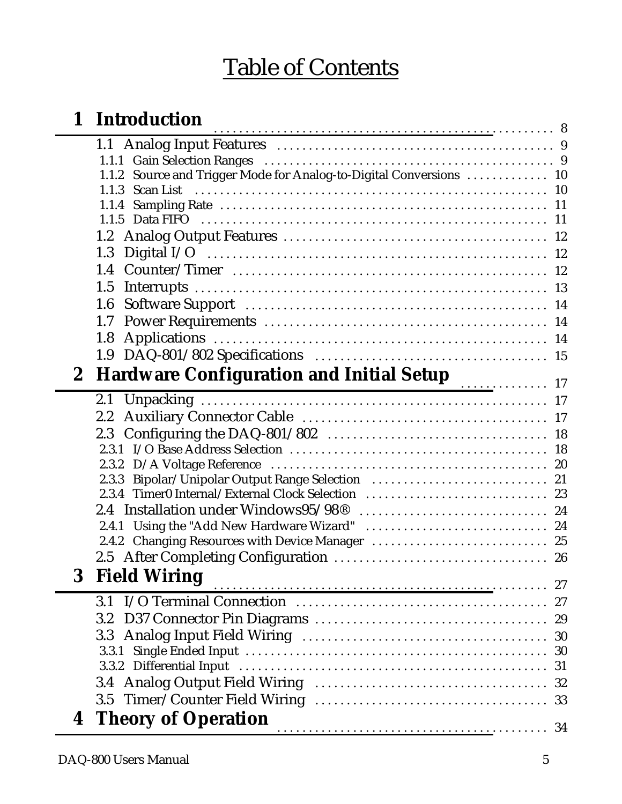# Table of Contents

| $\mathbf 1$  | Introduction                                                           |    |
|--------------|------------------------------------------------------------------------|----|
|              |                                                                        |    |
|              |                                                                        |    |
|              | Source and Trigger Mode for Analog-to-Digital Conversions  10<br>1.1.2 |    |
|              | 1.1.3 Scan List                                                        |    |
|              | 1.1.4                                                                  |    |
|              |                                                                        |    |
|              |                                                                        |    |
|              |                                                                        |    |
|              |                                                                        |    |
|              | 1.5                                                                    |    |
|              | 1.6                                                                    |    |
|              | 1.7                                                                    |    |
|              | 1.8                                                                    |    |
|              |                                                                        |    |
| $\mathbf{2}$ | Hardware Configuration and Initial Setup 17                            |    |
|              |                                                                        |    |
|              |                                                                        |    |
|              |                                                                        |    |
|              |                                                                        |    |
|              |                                                                        |    |
|              | 2.3.3                                                                  |    |
|              | 2.3.4 Timer0 Internal/External Clock Selection  23                     |    |
|              |                                                                        |    |
|              |                                                                        |    |
|              |                                                                        |    |
|              |                                                                        |    |
| 3            | <b>Field Wiring</b>                                                    |    |
|              |                                                                        |    |
|              | 3.2                                                                    |    |
|              | 3.3 <sub>1</sub>                                                       |    |
|              | 3.3.1                                                                  | 30 |
|              |                                                                        | 31 |
|              |                                                                        |    |
|              |                                                                        |    |
|              |                                                                        |    |
|              | <b>4 Theory of Operation</b>                                           |    |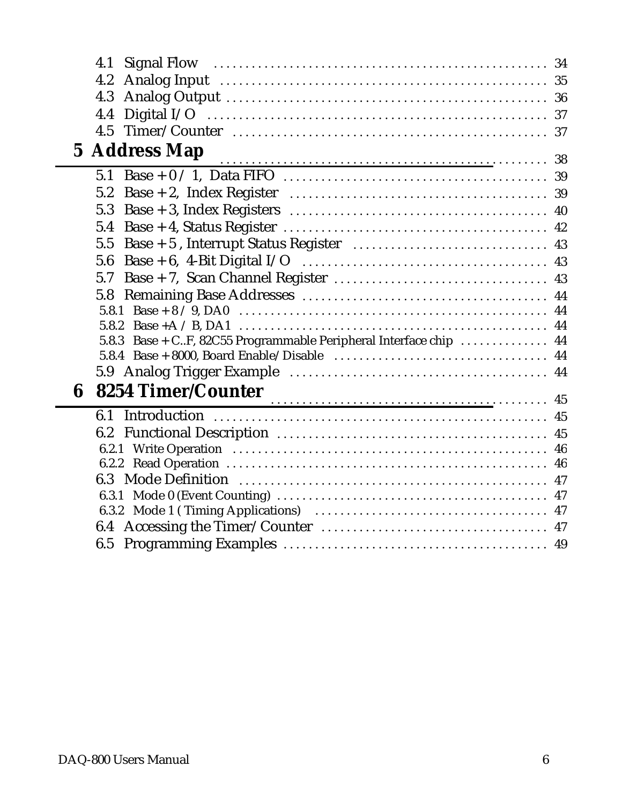|   | 4.1                                                               |  |
|---|-------------------------------------------------------------------|--|
|   | 4.2                                                               |  |
|   | 4.3                                                               |  |
|   | 4.4                                                               |  |
|   |                                                                   |  |
|   |                                                                   |  |
|   | <b>5 Address Map</b>                                              |  |
|   | 5.1                                                               |  |
|   | 5.2                                                               |  |
|   | 5.3                                                               |  |
|   | 5.4                                                               |  |
|   | 5.5                                                               |  |
|   | 5.6                                                               |  |
|   | 5.7                                                               |  |
|   | 5.8                                                               |  |
|   | 5.8.1                                                             |  |
|   | 5.8.2                                                             |  |
|   | 5.8.3 Base + CF, 82C55 Programmable Peripheral Interface chip  44 |  |
|   |                                                                   |  |
|   |                                                                   |  |
| 6 | 8254 Timer/Counter                                                |  |
|   | 6.1                                                               |  |
|   |                                                                   |  |
|   |                                                                   |  |
|   |                                                                   |  |
|   |                                                                   |  |
|   |                                                                   |  |
|   |                                                                   |  |
|   |                                                                   |  |
|   |                                                                   |  |
|   |                                                                   |  |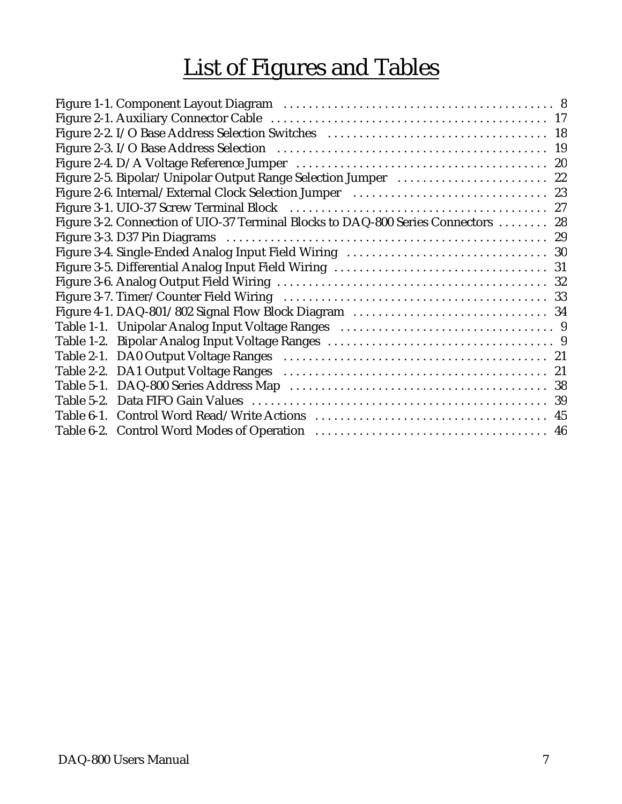# List of Figures and Tables

| Figure 2-5. Bipolar/Unipolar Output Range Selection Jumper  22                    |  |
|-----------------------------------------------------------------------------------|--|
| Figure 2-6. Internal/External Clock Selection Jumper (and accordination of 23     |  |
|                                                                                   |  |
| Figure 3-2. Connection of UIO-37 Terminal Blocks to DAQ-800 Series Connectors  28 |  |
|                                                                                   |  |
|                                                                                   |  |
|                                                                                   |  |
|                                                                                   |  |
|                                                                                   |  |
|                                                                                   |  |
|                                                                                   |  |
|                                                                                   |  |
|                                                                                   |  |
|                                                                                   |  |
|                                                                                   |  |
|                                                                                   |  |
|                                                                                   |  |
|                                                                                   |  |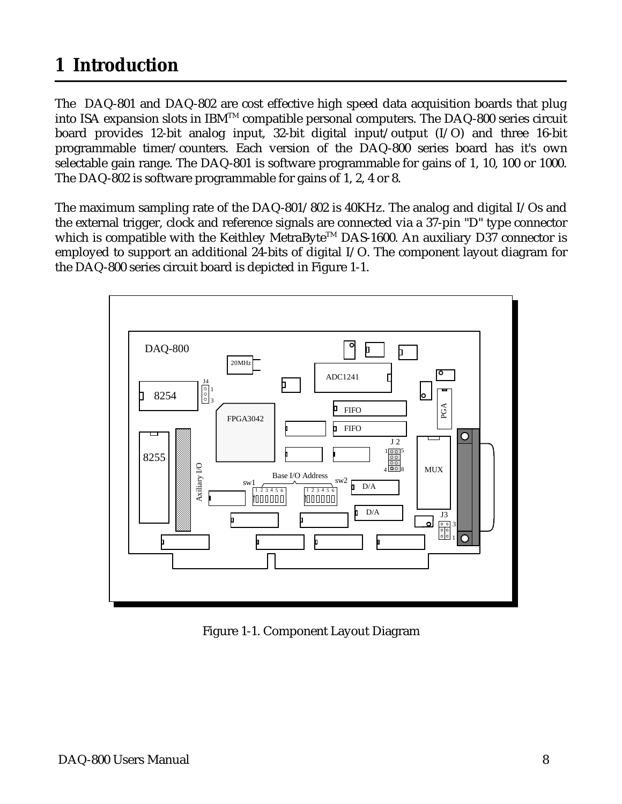# <span id="page-7-0"></span>**1 Introduction**

The DAQ-801 and DAQ-802 are cost effective high speed data acquisition boards that plug into ISA expansion slots in IBM<sup>TM</sup> compatible personal computers. The DAQ-800 series circuit board provides 12-bit analog input, 32-bit digital input/output (I/O) and three 16-bit programmable timer/counters. Each version of the DAQ-800 series board has it's own selectable gain range. The DAQ-801 is software programmable for gains of 1, 10, 100 or 1000. The DAQ-802 is software programmable for gains of 1, 2, 4 or 8.

The maximum sampling rate of the DAQ-801/802 is 40KHz. The analog and digital I/Os and the external trigger, clock and reference signals are connected via a 37-pin "D" type connector which is compatible with the Keithley MetraByte<sup>TM</sup> DAS-1600. An auxiliary D37 connector is employed to support an additional 24-bits of digital I/O. The component layout diagram for the DAQ-800 series circuit board is depicted in Figure 1-1.



Figure 1-1. Component Layout Diagram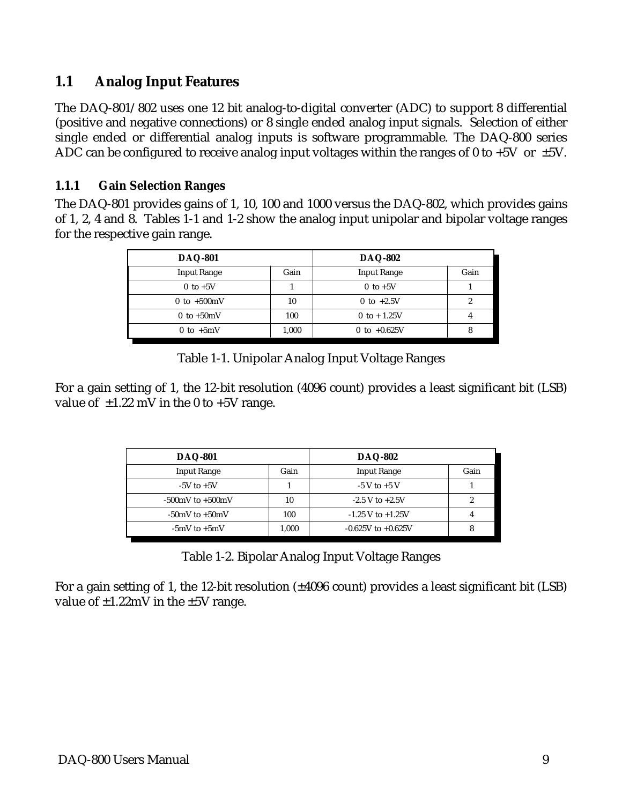# **1.1 Analog Input Features**

The DAQ-801/802 uses one 12 bit analog-to-digital converter (ADC) to support 8 differential (positive and negative connections) or 8 single ended analog input signals. Selection of either single ended or differential analog inputs is software programmable. The DAQ-800 series ADC can be configured to receive analog input voltages within the ranges of 0 to +5V or  $\pm$ 5V.

### **1.1.1 Gain Selection Ranges**

The DAQ-801 provides gains of 1, 10, 100 and 1000 versus the DAQ-802, which provides gains of 1, 2, 4 and 8. Tables 1-1 and 1-2 show the analog input unipolar and bipolar voltage ranges for the respective gain range.

| <b>DAQ-801</b>                |       | <b>DAQ-802</b>     |      |
|-------------------------------|-------|--------------------|------|
| <b>Input Range</b>            | Gain  | <b>Input Range</b> | Gain |
| $0$ to $+5V$                  |       | $0$ to $+5V$       |      |
| 0 to $+500 \text{mV}$         | 10    | 0 to $+2.5V$       |      |
| $0 \text{ to } +50 \text{mV}$ | 100   | 0 to + $1.25V$     |      |
| 0 to $+5mV$                   | 1,000 | 0 to $+0.625V$     |      |

Table 1-1. Unipolar Analog Input Voltage Ranges

For a gain setting of 1, the 12-bit resolution (4096 count) provides a least significant bit (LSB) value of  $\pm 1.22$  mV in the 0 to  $+5V$  range.

| <b>DAQ-801</b>         |       | <b>DAQ-802</b>         |      |
|------------------------|-------|------------------------|------|
| <b>Input Range</b>     | Gain  | <b>Input Range</b>     | Gain |
| $-5V$ to $+5V$         |       | $-5$ V to $+5$ V       |      |
| $-500$ mV to $+500$ mV | 10    | $-2.5$ V to $+2.5$ V   |      |
| $-50$ mV to $+50$ mV   | 100   | $-1.25$ V to $+1.25$ V |      |
| $-5mV$ to $+5mV$       | 1,000 | $-0.625V$ to $+0.625V$ |      |

| Table 1-2. Bipolar Analog Input Voltage Ranges |  |  |
|------------------------------------------------|--|--|
|                                                |  |  |

For a gain setting of 1, the 12-bit resolution (±4096 count) provides a least significant bit (LSB) value of  $\pm 1.22$ mV in the  $\pm 5V$  range.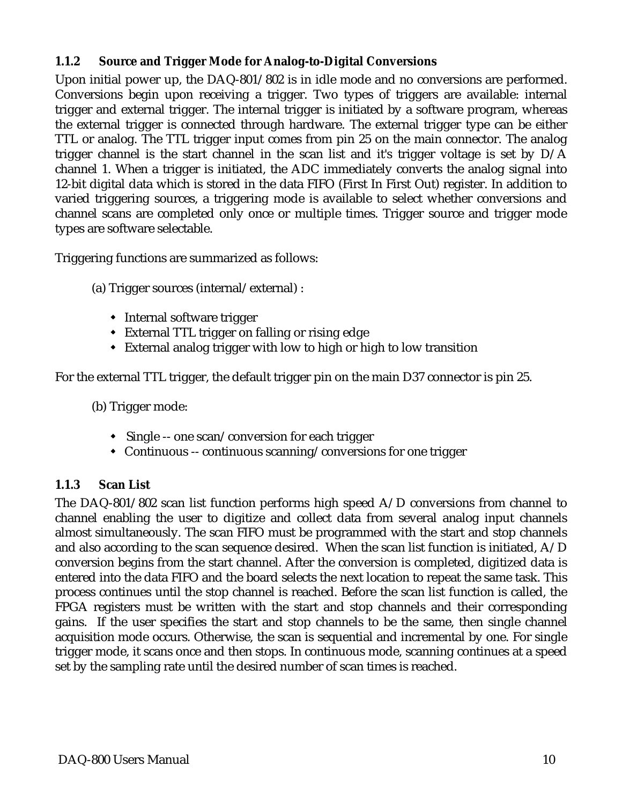### **1.1.2 Source and Trigger Mode for Analog-to-Digital Conversions**

Upon initial power up, the DAQ-801/802 is in idle mode and no conversions are performed. Conversions begin upon receiving a trigger. Two types of triggers are available: internal trigger and external trigger. The internal trigger is initiated by a software program, whereas the external trigger is connected through hardware. The external trigger type can be either TTL or analog. The TTL trigger input comes from pin 25 on the main connector. The analog trigger channel is the start channel in the scan list and it's trigger voltage is set by D/A channel 1. When a trigger is initiated, the ADC immediately converts the analog signal into 12-bit digital data which is stored in the data FIFO (First In First Out) register. In addition to varied triggering sources, a triggering mode is available to select whether conversions and channel scans are completed only once or multiple times. Trigger source and trigger mode types are software selectable.

Triggering functions are summarized as follows:

(a) Trigger sources (internal/external) :

- $\mathbf{r}$ • Internal software trigger
- $\frac{1}{4}$ External TTL trigger on falling or rising edge
- $\frac{1}{4}$ External analog trigger with low to high or high to low transition

For the external TTL trigger, the default trigger pin on the main D37 connector is pin 25.

(b) Trigger mode:

- Single -- one scan/conversion for each trigger
- $\frac{1}{2}$ Continuous -- continuous scanning/conversions for one trigger

### **1.1.3 Scan List**

The DAQ-801/802 scan list function performs high speed A/D conversions from channel to channel enabling the user to digitize and collect data from several analog input channels almost simultaneously. The scan FIFO must be programmed with the start and stop channels and also according to the scan sequence desired. When the scan list function is initiated, A/D conversion begins from the start channel. After the conversion is completed, digitized data is entered into the data FIFO and the board selects the next location to repeat the same task. This process continues until the stop channel is reached. Before the scan list function is called, the FPGA registers must be written with the start and stop channels and their corresponding gains. If the user specifies the start and stop channels to be the same, then single channel acquisition mode occurs. Otherwise, the scan is sequential and incremental by one. For single trigger mode, it scans once and then stops. In continuous mode, scanning continues at a speed set by the sampling rate until the desired number of scan times is reached.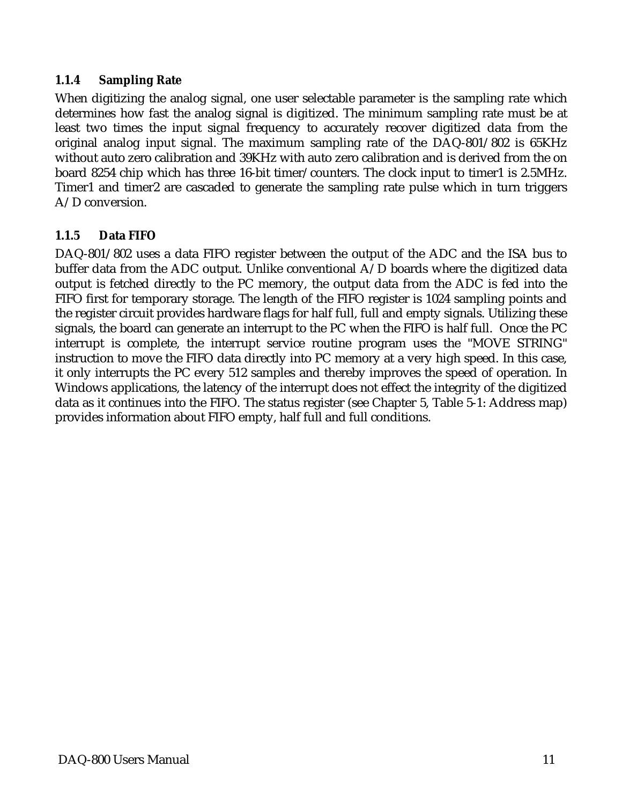#### **1.1.4 Sampling Rate**

When digitizing the analog signal, one user selectable parameter is the sampling rate which determines how fast the analog signal is digitized. The minimum sampling rate must be at least two times the input signal frequency to accurately recover digitized data from the original analog input signal. The maximum sampling rate of the DAQ-801/802 is 65KHz without auto zero calibration and 39KHz with auto zero calibration and is derived from the on board 8254 chip which has three 16-bit timer/counters. The clock input to timer1 is 2.5MHz. Timer1 and timer2 are cascaded to generate the sampling rate pulse which in turn triggers A/D conversion.

### **1.1.5 Data FIFO**

DAQ-801/802 uses a data FIFO register between the output of the ADC and the ISA bus to buffer data from the ADC output. Unlike conventional A/D boards where the digitized data output is fetched directly to the PC memory, the output data from the ADC is fed into the FIFO first for temporary storage. The length of the FIFO register is 1024 sampling points and the register circuit provides hardware flags for half full, full and empty signals. Utilizing these signals, the board can generate an interrupt to the PC when the FIFO is half full. Once the PC interrupt is complete, the interrupt service routine program uses the "MOVE STRING" instruction to move the FIFO data directly into PC memory at a very high speed. In this case, it only interrupts the PC every 512 samples and thereby improves the speed of operation. In Windows applications, the latency of the interrupt does not effect the integrity of the digitized data as it continues into the FIFO. The status register (see Chapter 5, Table 5-1: Address map) provides information about FIFO empty, half full and full conditions.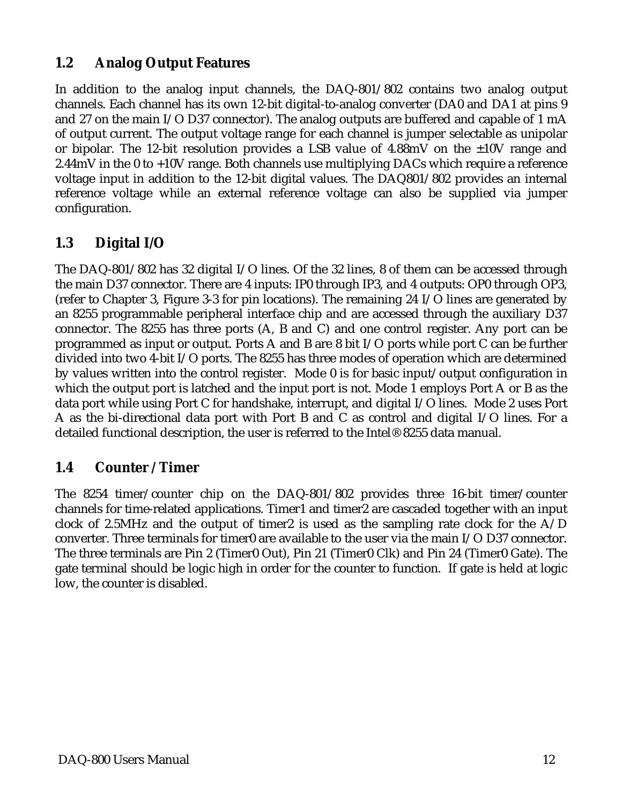# **1.2 Analog Output Features**

In addition to the analog input channels, the DAQ-801/802 contains two analog output channels. Each channel has its own 12-bit digital-to-analog converter (DA0 and DA1 at pins 9 and 27 on the main I/O D37 connector). The analog outputs are buffered and capable of 1 mA of output current. The output voltage range for each channel is jumper selectable as unipolar or bipolar. The 12-bit resolution provides a LSB value of 4.88mV on the ±10V range and 2.44mV in the 0 to +10V range. Both channels use multiplying DACs which require a reference voltage input in addition to the 12-bit digital values. The DAQ801/802 provides an internal reference voltage while an external reference voltage can also be supplied via jumper configuration.

# **1.3 Digital I/O**

The DAQ-801/802 has 32 digital I/O lines. Of the 32 lines, 8 of them can be accessed through the main D37 connector. There are 4 inputs: IP0 through IP3, and 4 outputs: OP0 through OP3, (refer to Chapter 3, Figure 3-3 for pin locations). The remaining 24 I/O lines are generated by an 8255 programmable peripheral interface chip and are accessed through the auxiliary D37 connector. The 8255 has three ports (A, B and C) and one control register. Any port can be programmed as input or output. Ports A and B are 8 bit I/O ports while port C can be further divided into two 4-bit I/O ports. The 8255 has three modes of operation which are determined by values written into the control register. Mode 0 is for basic input/output configuration in which the output port is latched and the input port is not. Mode 1 employs Port A or B as the data port while using Port C for handshake, interrupt, and digital I/O lines. Mode 2 uses Port A as the bi-directional data port with Port B and C as control and digital I/O lines. For a detailed functional description, the user is referred to the Intel® 8255 data manual.

# **1.4 Counter / Timer**

The 8254 timer/counter chip on the DAQ-801/802 provides three 16-bit timer/counter channels for time-related applications. Timer1 and timer2 are cascaded together with an input clock of 2.5MHz and the output of timer2 is used as the sampling rate clock for the A/D converter. Three terminals for timer0 are available to the user via the main I/O D37 connector. The three terminals are Pin 2 (Timer0 Out), Pin 21 (Timer0 Clk) and Pin 24 (Timer0 Gate). The gate terminal should be logic high in order for the counter to function. If gate is held at logic low, the counter is disabled.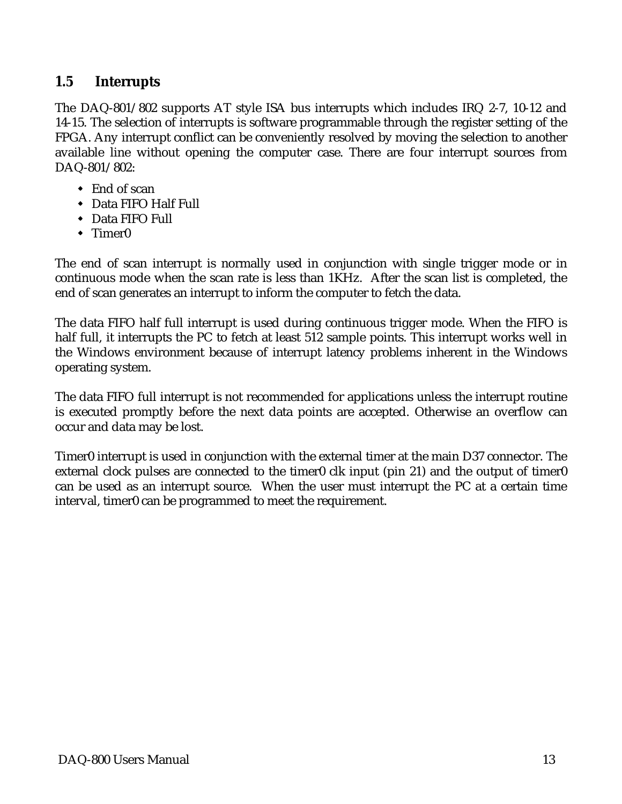### **1.5 Interrupts**

The DAQ-801/802 supports AT style ISA bus interrupts which includes IRQ 2-7, 10-12 and 14-15. The selection of interrupts is software programmable through the register setting of the FPGA. Any interrupt conflict can be conveniently resolved by moving the selection to another available line without opening the computer case. There are four interrupt sources from DAQ-801/802:

- $\mathbf{r}$ ◆ End of scan
- $\frac{1}{2}$ Data FIFO Half Full
- $\frac{1}{2}$ Data FIFO Full
- $\frac{1}{2}$ • Timer0

The end of scan interrupt is normally used in conjunction with single trigger mode or in continuous mode when the scan rate is less than 1KHz. After the scan list is completed, the end of scan generates an interrupt to inform the computer to fetch the data.

The data FIFO half full interrupt is used during continuous trigger mode. When the FIFO is half full, it interrupts the PC to fetch at least 512 sample points. This interrupt works well in the Windows environment because of interrupt latency problems inherent in the Windows operating system.

The data FIFO full interrupt is not recommended for applications unless the interrupt routine is executed promptly before the next data points are accepted. Otherwise an overflow can occur and data may be lost.

Timer0 interrupt is used in conjunction with the external timer at the main D37 connector. The external clock pulses are connected to the timer0 clk input (pin 21) and the output of timer0 can be used as an interrupt source. When the user must interrupt the PC at a certain time interval, timer0 can be programmed to meet the requirement.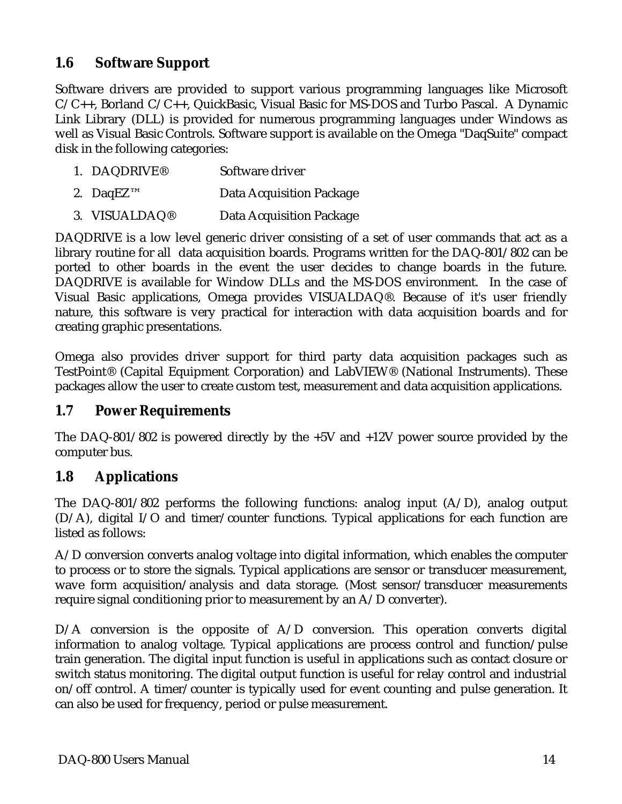# **1.6 Software Support**

Software drivers are provided to support various programming languages like Microsoft  $C/C++$ , Borland  $C/C++$ , QuickBasic, Visual Basic for MS-DOS and Turbo Pascal. A Dynamic Link Library (DLL) is provided for numerous programming languages under Windows as well as Visual Basic Controls. Software support is available on the Omega "DaqSuite" compact disk in the following categories:

- 1. DAQDRIVE® Software driver
- 2. DaqEZ™ Data Acquisition Package
- 3. VISUALDAQ® Data Acquisition Package

DAQDRIVE is a low level generic driver consisting of a set of user commands that act as a library routine for all data acquisition boards. Programs written for the DAQ-801/802 can be ported to other boards in the event the user decides to change boards in the future. DAQDRIVE is available for Window DLLs and the MS-DOS environment. In the case of Visual Basic applications, Omega provides VISUALDAQ®. Because of it's user friendly nature, this software is very practical for interaction with data acquisition boards and for creating graphic presentations.

Omega also provides driver support for third party data acquisition packages such as TestPoint® (Capital Equipment Corporation) and LabVIEW® (National Instruments). These packages allow the user to create custom test, measurement and data acquisition applications.

#### **1.7 Power Requirements**

The DAQ-801/802 is powered directly by the +5V and +12V power source provided by the computer bus.

### **1.8 Applications**

The DAQ-801/802 performs the following functions: analog input  $(A/D)$ , analog output (D/A), digital I/O and timer/counter functions. Typical applications for each function are listed as follows:

A/D conversion converts analog voltage into digital information, which enables the computer to process or to store the signals. Typical applications are sensor or transducer measurement, wave form acquisition/analysis and data storage. (Most sensor/transducer measurements require signal conditioning prior to measurement by an  $A/D$  converter).

D/A conversion is the opposite of A/D conversion. This operation converts digital information to analog voltage. Typical applications are process control and function/pulse train generation. The digital input function is useful in applications such as contact closure or switch status monitoring. The digital output function is useful for relay control and industrial on/off control. A timer/counter is typically used for event counting and pulse generation. It can also be used for frequency, period or pulse measurement.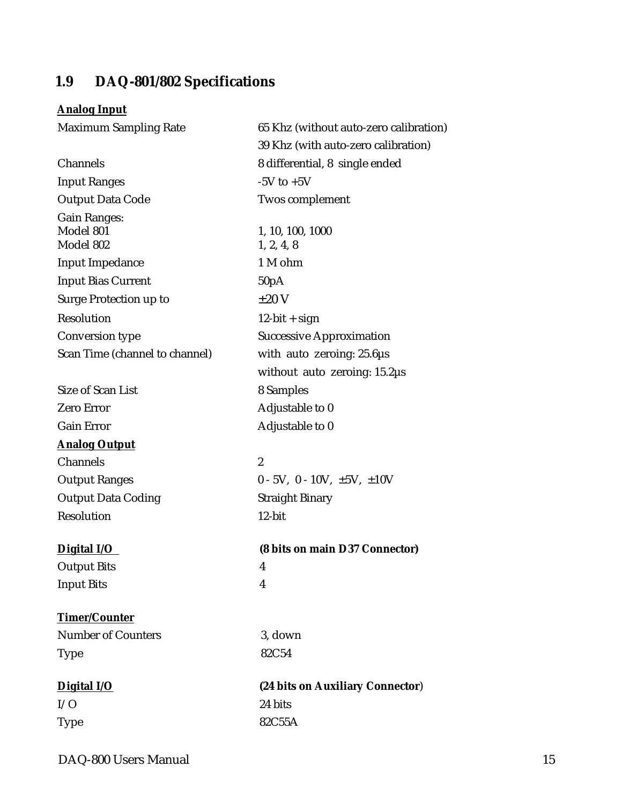# <span id="page-14-0"></span>**1.9 DAQ-801/802 Specifications**

# **Analog Input**

| <b>Maximum Sampling Rate</b>   | 65 Khz (without auto-zero calibration)      |
|--------------------------------|---------------------------------------------|
|                                | 39 Khz (with auto-zero calibration)         |
| Channels                       | 8 differential, 8 single ended              |
| <b>Input Ranges</b>            | $-5V$ to $+5V$                              |
| <b>Output Data Code</b>        | Twos complement                             |
| <b>Gain Ranges:</b>            |                                             |
| Model 801                      | 1, 10, 100, 1000                            |
| Model 802                      | 1, 2, 4, 8                                  |
| <b>Input Impedance</b>         | 1 M ohm                                     |
| <b>Input Bias Current</b>      | 50pA                                        |
| Surge Protection up to         | $\pm 20$ V                                  |
| Resolution                     | $12$ -bit + sign                            |
| <b>Conversion type</b>         | <b>Successive Approximation</b>             |
| Scan Time (channel to channel) | with auto zeroing: $25.6\mu s$              |
|                                | without auto zeroing: $15.2\mu s$           |
| Size of Scan List              | 8 Samples                                   |
| <b>Zero Error</b>              | Adjustable to 0                             |
| <b>Gain Error</b>              | Adjustable to 0                             |
| <b>Analog Output</b>           |                                             |
| Channels                       | $\boldsymbol{2}$                            |
| <b>Output Ranges</b>           | $0 - 5V$ , $0 - 10V$ , $\pm 5V$ , $\pm 10V$ |
| <b>Output Data Coding</b>      | <b>Straight Binary</b>                      |
| <b>Resolution</b>              | 12-bit                                      |
| Digital I/O                    | (8 bits on main D37 Connector)              |
| <b>Output Bits</b>             | 4                                           |
| <b>Input Bits</b>              | 4                                           |
| <b>Timer/Counter</b>           |                                             |
| <b>Number of Counters</b>      | 3, down                                     |
| <b>Type</b>                    | 82C54                                       |
| Digital I/O                    | (24 bits on Auxiliary Connector)            |
| I/O                            | 24 bits                                     |
| <b>Type</b>                    | 82C55A                                      |
|                                |                                             |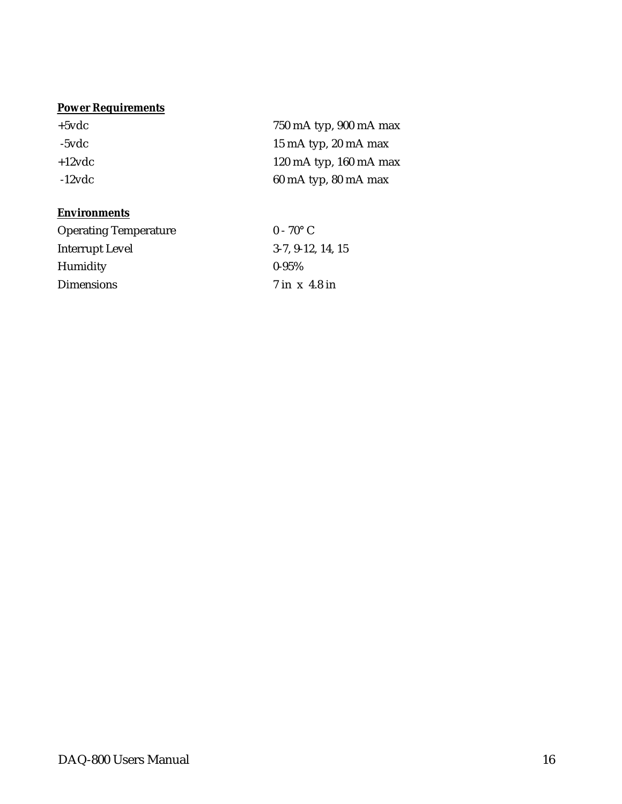### **Power Requirements**

| $+5$ vdc          | 750 mA typ, 900 mA max                   |
|-------------------|------------------------------------------|
| -5vdc             | 15 mA typ, 20 mA max                     |
| $+12$ vdc         | 120 mA typ, $160$ mA max                 |
| $-12$ v $\rm{dc}$ | $60 \text{ mA}$ typ, $80 \text{ mA}$ max |

#### **Environments**

| <b>Operating Temperature</b> | $0 - 70^{\circ}$ C  |
|------------------------------|---------------------|
| Interrupt Level              | $3-7, 9-12, 14, 15$ |
| Humidity                     | $0 - 95\%$          |
| <b>Dimensions</b>            | 7 in x 4.8 in       |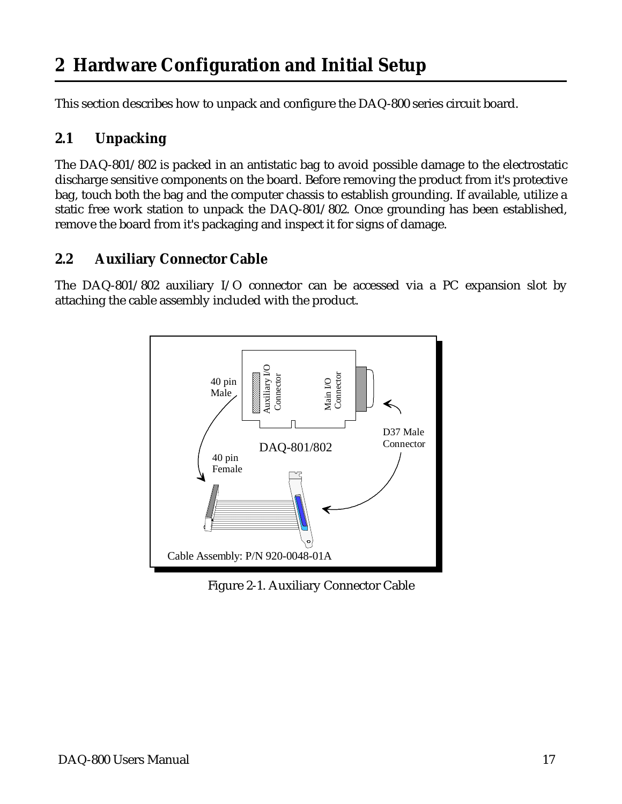# <span id="page-16-0"></span>**2 Hardware Configuration and Initial Setup**

This section describes how to unpack and configure the DAQ-800 series circuit board.

# **2.1 Unpacking**

The DAQ-801/802 is packed in an antistatic bag to avoid possible damage to the electrostatic discharge sensitive components on the board. Before removing the product from it's protective bag, touch both the bag and the computer chassis to establish grounding. If available, utilize a static free work station to unpack the DAQ-801/802. Once grounding has been established, remove the board from it's packaging and inspect it for signs of damage.

# **2.2 Auxiliary Connector Cable**

The DAQ-801/802 auxiliary I/O connector can be accessed via a PC expansion slot by attaching the cable assembly included with the product.



Figure 2-1. Auxiliary Connector Cable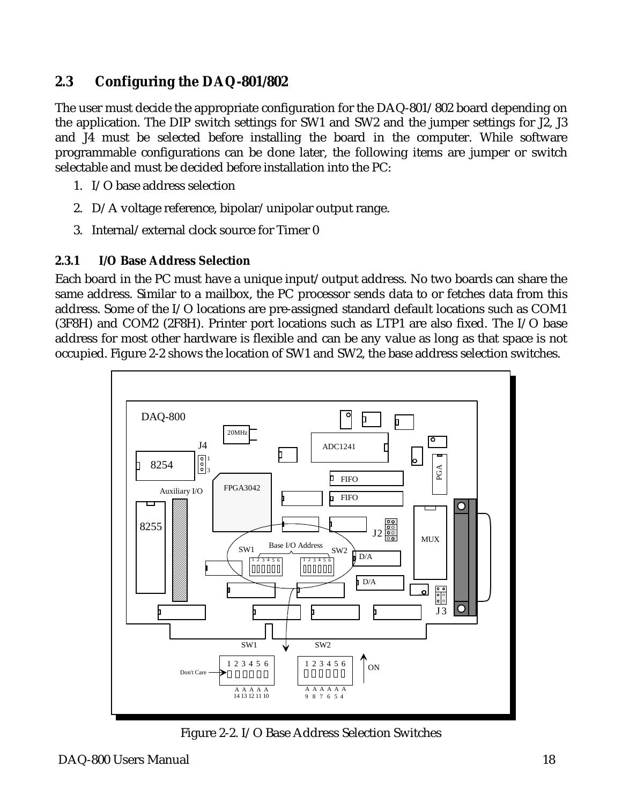# **2.3 Configuring the DAQ-801/802**

The user must decide the appropriate configuration for the DAQ-801/802 board depending on the application. The DIP switch settings for SW1 and SW2 and the jumper settings for J2, J3 and J4 must be selected before installing the board in the computer. While software programmable configurations can be done later, the following items are jumper or switch selectable and must be decided before installation into the PC:

- 1. I/O base address selection
- 2. D/A voltage reference, bipolar/unipolar output range.
- 3. Internal/external clock source for Timer 0

### **2.3.1 I/O Base Address Selection**

Each board in the PC must have a unique input/output address. No two boards can share the same address. Similar to a mailbox, the PC processor sends data to or fetches data from this address. Some of the I/O locations are pre-assigned standard default locations such as COM1 (3F8H) and COM2 (2F8H). Printer port locations such as LTP1 are also fixed. The I/O base address for most other hardware is flexible and can be any value as long as that space is not occupied. Figure 2-2 shows the location of SW1 and SW2, the base address selection switches.



Figure 2-2. I/O Base Address Selection Switches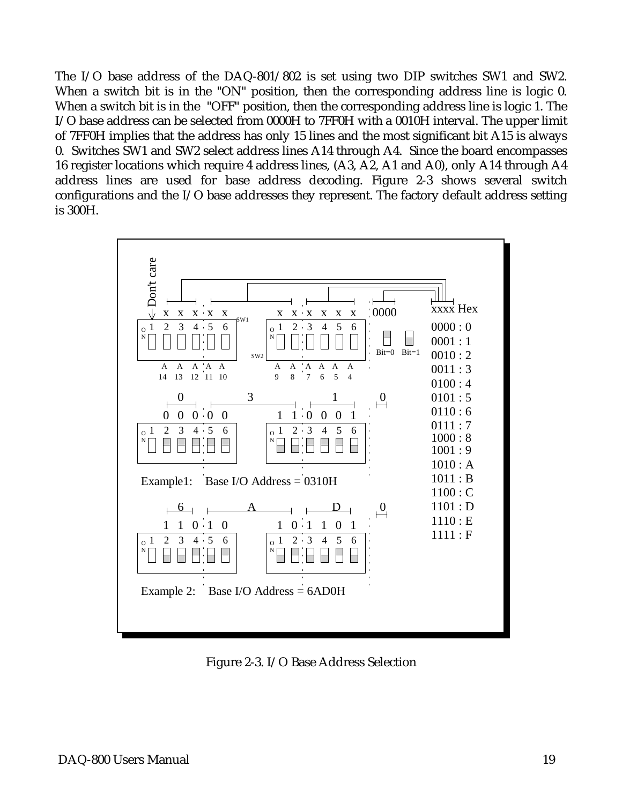The I/O base address of the DAQ-801/802 is set using two DIP switches SW1 and SW2. When a switch bit is in the "ON" position, then the corresponding address line is logic 0. When a switch bit is in the "OFF" position, then the corresponding address line is logic 1. The I/O base address can be selected from 0000H to 7FF0H with a 0010H interval. The upper limit of 7FF0H implies that the address has only 15 lines and the most significant bit A15 is always 0. Switches SW1 and SW2 select address lines A14 through A4. Since the board encompasses 16 register locations which require 4 address lines, (A3, A2, A1 and A0), only A14 through A4 address lines are used for base address decoding. Figure 2-3 shows several switch configurations and the I/O base addresses they represent. The factory default address setting is 300H.



Figure 2-3. I/O Base Address Selection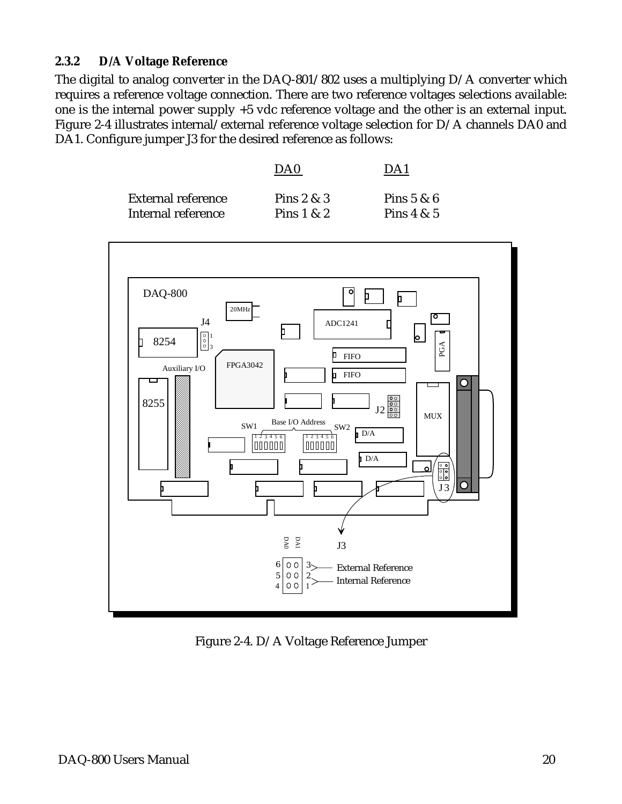#### **2.3.2 D/A Voltage Reference**

The digital to analog converter in the DAQ-801/802 uses a multiplying D/A converter which requires a reference voltage connection. There are two reference voltages selections available: one is the internal power supply +5 vdc reference voltage and the other is an external input. Figure 2-4 illustrates internal/external reference voltage selection for D/A channels DA0 and DA1. Configure jumper J3 for the desired reference as follows:

|                           | DA0          | $\mathcal{D}$ $\Lambda$ . |
|---------------------------|--------------|---------------------------|
| <b>External reference</b> | Pins $2 & 3$ | Pins $5 & 6$              |
| Internal reference        | Pins $1 & 2$ | Pins $4 & 5$              |



Figure 2-4. D/A Voltage Reference Jumper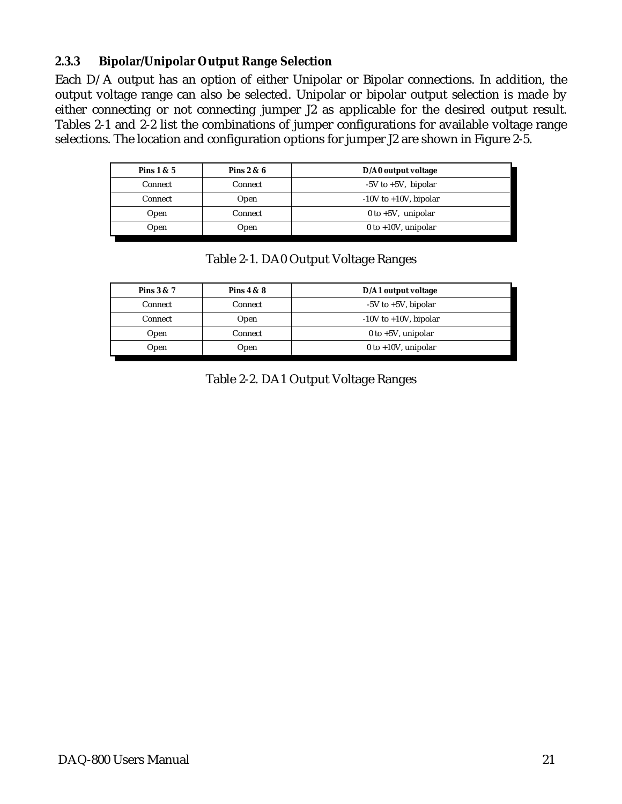### **2.3.3 Bipolar/Unipolar Output Range Selection**

Each D/A output has an option of either Unipolar or Bipolar connections. In addition, the output voltage range can also be selected. Unipolar or bipolar output selection is made by either connecting or not connecting jumper J2 as applicable for the desired output result. Tables 2-1 and 2-2 list the combinations of jumper configurations for available voltage range selections. The location and configuration options for jumper J2 are shown in Figure 2-5.

| Pins $1 & 5$   | Pins $2 & 6$   | D/A0 output voltage        |
|----------------|----------------|----------------------------|
| Connect        | <b>Connect</b> | $-5V$ to $+5V$ , bipolar   |
| <b>Connect</b> | Open           | $-10V$ to $+10V$ , bipolar |
| Open           | <b>Connect</b> | $0$ to $+5V$ , unipolar    |
| Open           | Open           | $0$ to +10V, unipolar      |

|  |  | Table 2-1. DA0 Output Voltage Ranges |  |
|--|--|--------------------------------------|--|

| Pins $4 & 8$   | D/A1 output voltage        |  |
|----------------|----------------------------|--|
| <b>Connect</b> | $-5V$ to $+5V$ , bipolar   |  |
| Open           | $-10V$ to $+10V$ , bipolar |  |
| <b>Connect</b> | 0 to $+5V$ , unipolar      |  |
| Open           | $0$ to +10V, unipolar      |  |
|                |                            |  |

Table 2-2. DA1 Output Voltage Ranges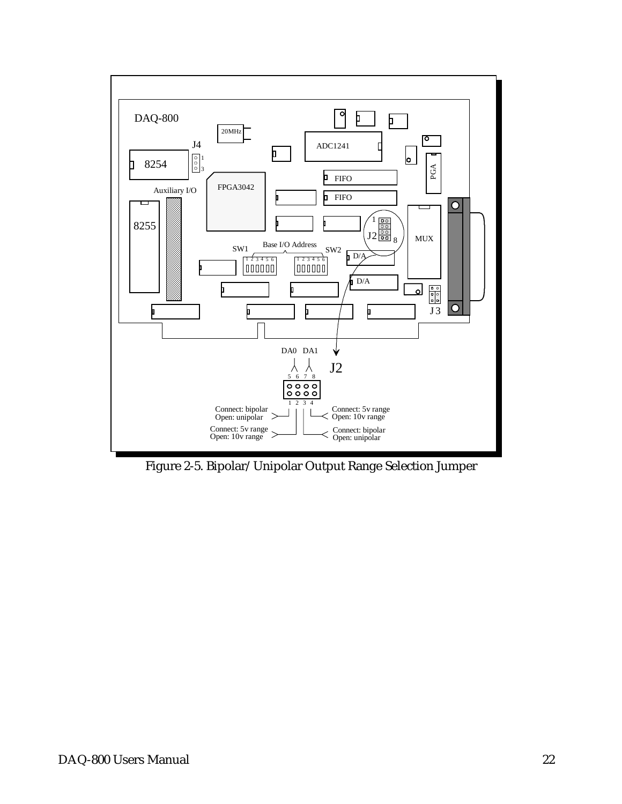

Figure 2-5. Bipolar/Unipolar Output Range Selection Jumper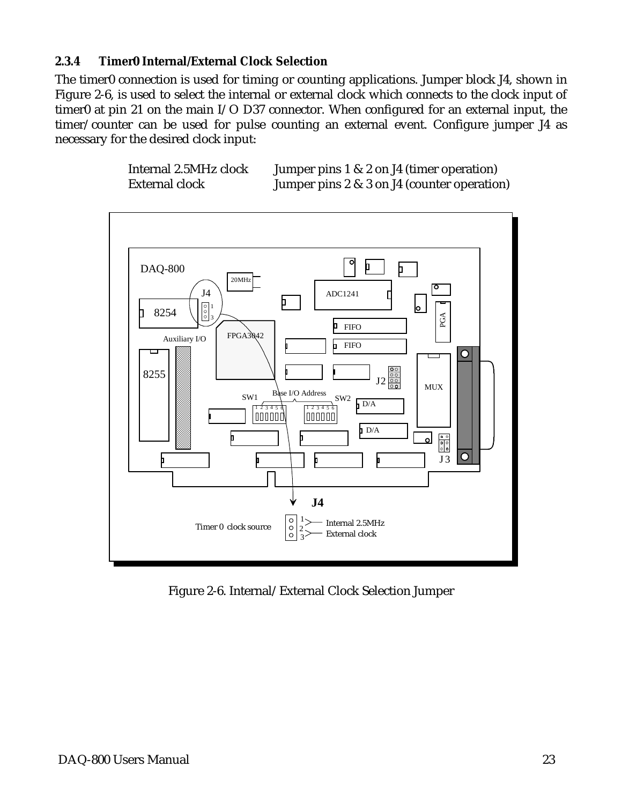### **2.3.4 Timer0 Internal/External Clock Selection**

The timer0 connection is used for timing or counting applications. Jumper block J4, shown in Figure 2-6, is used to select the internal or external clock which connects to the clock input of timer0 at pin 21 on the main I/O D37 connector. When configured for an external input, the timer/counter can be used for pulse counting an external event. Configure jumper J4 as necessary for the desired clock input:





Figure 2-6. Internal/External Clock Selection Jumper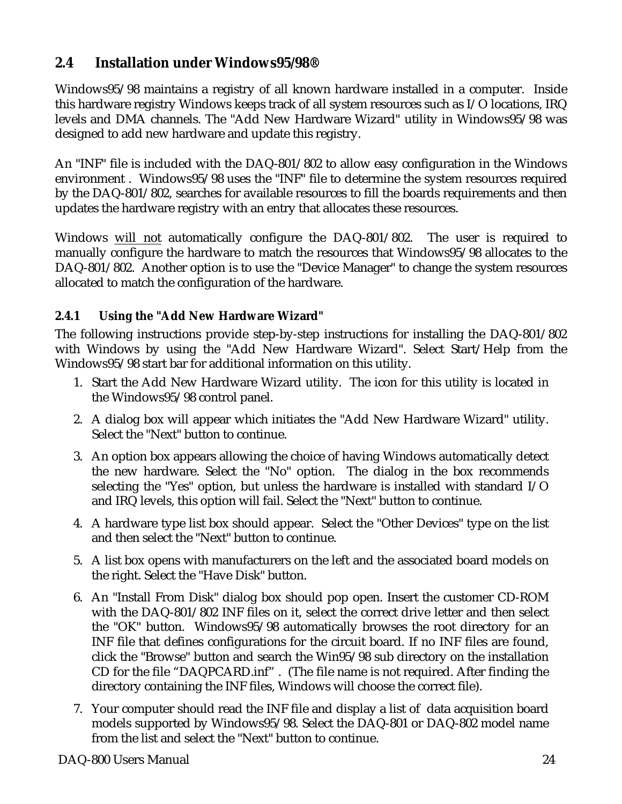# <span id="page-23-0"></span>**2.4 Installation under Windows95/98®**

Windows95/98 maintains a registry of all known hardware installed in a computer. Inside this hardware registry Windows keeps track of all system resources such as I/O locations, IRQ levels and DMA channels. The "Add New Hardware Wizard" utility in Windows95/98 was designed to add new hardware and update this registry.

An "INF" file is included with the DAQ-801/802 to allow easy configuration in the Windows environment . Windows95/98 uses the "INF" file to determine the system resources required by the DAQ-801/802, searches for available resources to fill the boards requirements and then updates the hardware registry with an entry that allocates these resources.

Windows will not automatically configure the DAQ-801/802. The user is required to manually configure the hardware to match the resources that Windows95/98 allocates to the DAQ-801/802. Another option is to use the "Device Manager" to change the system resources allocated to match the configuration of the hardware.

# **2.4.1 Using the "Add New Hardware Wizard"**

The following instructions provide step-by-step instructions for installing the DAQ-801/802 with Windows by using the "Add New Hardware Wizard". Select Start/Help from the Windows95/98 start bar for additional information on this utility.

- 1. Start the Add New Hardware Wizard utility. The icon for this utility is located in the Windows95/98 control panel.
- 2. A dialog box will appear which initiates the "Add New Hardware Wizard" utility. Select the "Next" button to continue.
- 3. An option box appears allowing the choice of having Windows automatically detect the new hardware. Select the "No" option. The dialog in the box recommends selecting the "Yes" option, but unless the hardware is installed with standard I/O and IRQ levels, this option will fail. Select the "Next" button to continue.
- 4. A hardware type list box should appear. Select the "Other Devices" type on the list and then select the "Next" button to continue.
- 5. A list box opens with manufacturers on the left and the associated board models on the right. Select the "Have Disk" button.
- 6. An "Install From Disk" dialog box should pop open. Insert the customer CD-ROM with the DAQ-801/802 INF files on it, select the correct drive letter and then select the "OK" button. Windows95/98 automatically browses the root directory for an INF file that defines configurations for the circuit board. If no INF files are found, click the "Browse" button and search the Win95/98 sub directory on the installation CD for the file "DAQPCARD.inf" . (The file name is not required. After finding the directory containing the INF files, Windows will choose the correct file).
- 7. Your computer should read the INF file and display a list of data acquisition board models supported by Windows95/98. Select the DAQ-801 or DAQ-802 model name from the list and select the "Next" button to continue.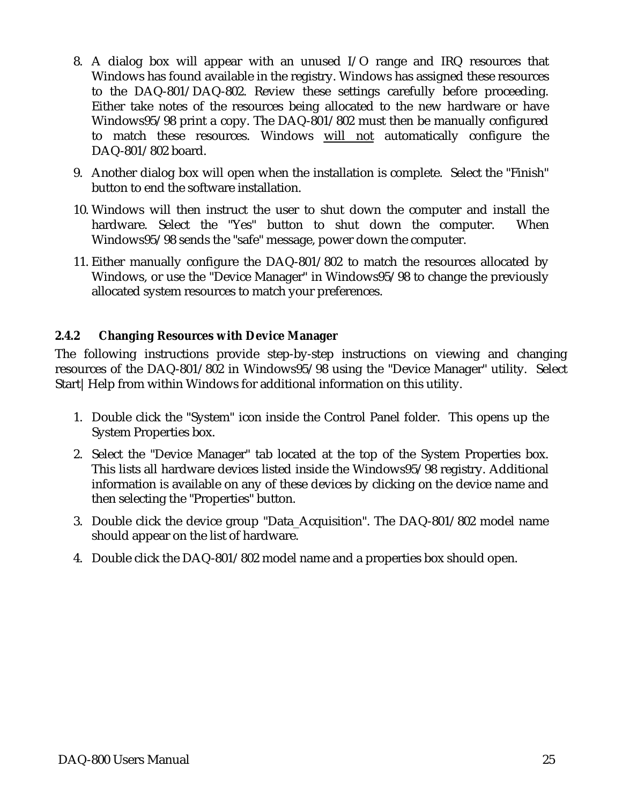- 8. A dialog box will appear with an unused I/O range and IRQ resources that Windows has found available in the registry. Windows has assigned these resources to the DAQ-801/DAQ-802. Review these settings carefully before proceeding. Either take notes of the resources being allocated to the new hardware or have Windows95/98 print a copy. The DAQ-801/802 must then be manually configured to match these resources. Windows will not automatically configure the DAQ-801/802 board.
- 9. Another dialog box will open when the installation is complete. Select the "Finish" button to end the software installation.
- 10. Windows will then instruct the user to shut down the computer and install the hardware. Select the "Yes" button to shut down the computer. When Windows95/98 sends the "safe" message, power down the computer.
- 11. Either manually configure the DAQ-801/802 to match the resources allocated by Windows, or use the "Device Manager" in Windows95/98 to change the previously allocated system resources to match your preferences.

#### **2.4.2 Changing Resources with Device Manager**

The following instructions provide step-by-step instructions on viewing and changing resources of the DAQ-801/802 in Windows95/98 using the "Device Manager" utility. Select Start | Help from within Windows for additional information on this utility.

- 1. Double click the "System" icon inside the Control Panel folder. This opens up the System Properties box.
- 2. Select the "Device Manager" tab located at the top of the System Properties box. This lists all hardware devices listed inside the Windows95/98 registry. Additional information is available on any of these devices by clicking on the device name and then selecting the "Properties" button.
- 3. Double click the device group "Data\_Acquisition". The DAQ-801/802 model name should appear on the list of hardware.
- 4. Double click the DAQ-801/802 model name and a properties box should open.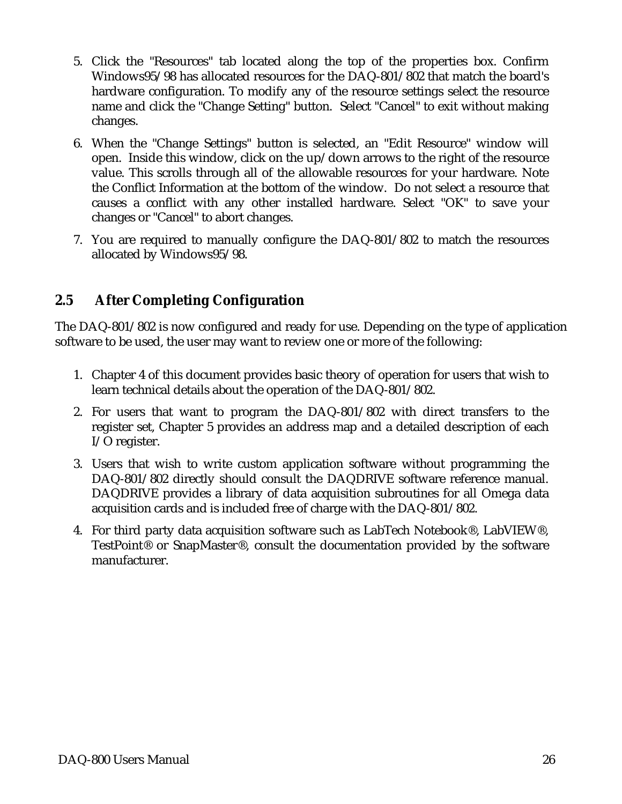- 5. Click the "Resources" tab located along the top of the properties box. Confirm Windows95/98 has allocated resources for the DAQ-801/802 that match the board's hardware configuration. To modify any of the resource settings select the resource name and click the "Change Setting" button. Select "Cancel" to exit without making changes.
- 6. When the "Change Settings" button is selected, an "Edit Resource" window will open. Inside this window, click on the up/down arrows to the right of the resource value. This scrolls through all of the allowable resources for your hardware. Note the Conflict Information at the bottom of the window. Do not select a resource that causes a conflict with any other installed hardware. Select "OK" to save your changes or "Cancel" to abort changes.
- 7. You are required to manually configure the DAQ-801/802 to match the resources allocated by Windows95/98.

# **2.5 After Completing Configuration**

The DAQ-801/802 is now configured and ready for use. Depending on the type of application software to be used, the user may want to review one or more of the following:

- 1. Chapter 4 of this document provides basic theory of operation for users that wish to learn technical details about the operation of the DAQ-801/802.
- 2. For users that want to program the DAQ-801/802 with direct transfers to the register set, Chapter 5 provides an address map and a detailed description of each I/O register.
- 3. Users that wish to write custom application software without programming the DAQ-801/802 directly should consult the DAQDRIVE software reference manual. DAQDRIVE provides a library of data acquisition subroutines for all Omega data acquisition cards and is included free of charge with the DAQ-801/802.
- 4. For third party data acquisition software such as LabTech Notebook®, LabVIEW®, TestPoint® or SnapMaster®, consult the documentation provided by the software manufacturer.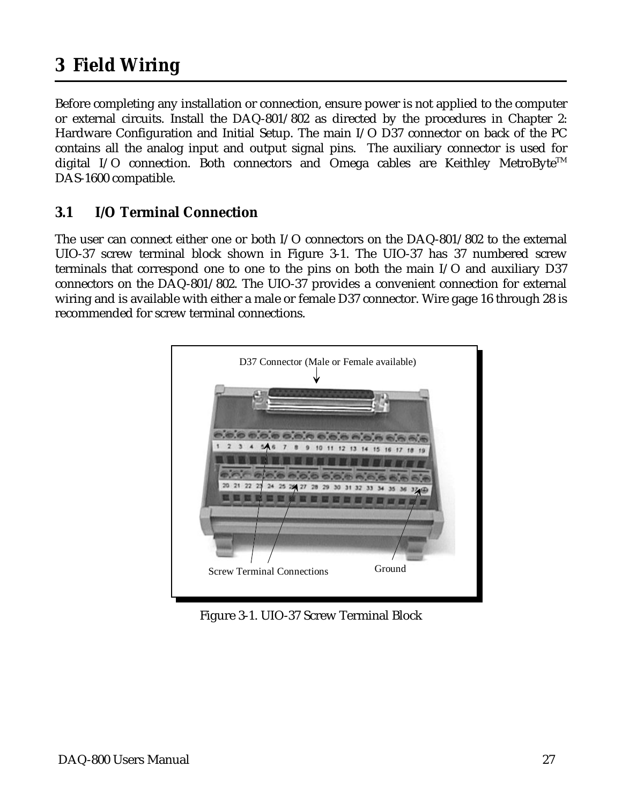# <span id="page-26-0"></span>**3 Field Wiring**

Before completing any installation or connection, ensure power is not applied to the computer or external circuits. Install the DAQ-801/802 as directed by the procedures in Chapter 2: Hardware Configuration and Initial Setup. The main I/O D37 connector on back of the PC contains all the analog input and output signal pins. The auxiliary connector is used for digital I/O connection. Both connectors and Omega cables are Keithley MetroByte<sup>TM</sup> DAS-1600 compatible.

# **3.1 I/O Terminal Connection**

The user can connect either one or both I/O connectors on the DAQ-801/802 to the external UIO-37 screw terminal block shown in Figure 3-1. The UIO-37 has 37 numbered screw terminals that correspond one to one to the pins on both the main I/O and auxiliary D37 connectors on the DAQ-801/802. The UIO-37 provides a convenient connection for external wiring and is available with either a male or female D37 connector. Wire gage 16 through 28 is recommended for screw terminal connections.



Figure 3-1. UIO-37 Screw Terminal Block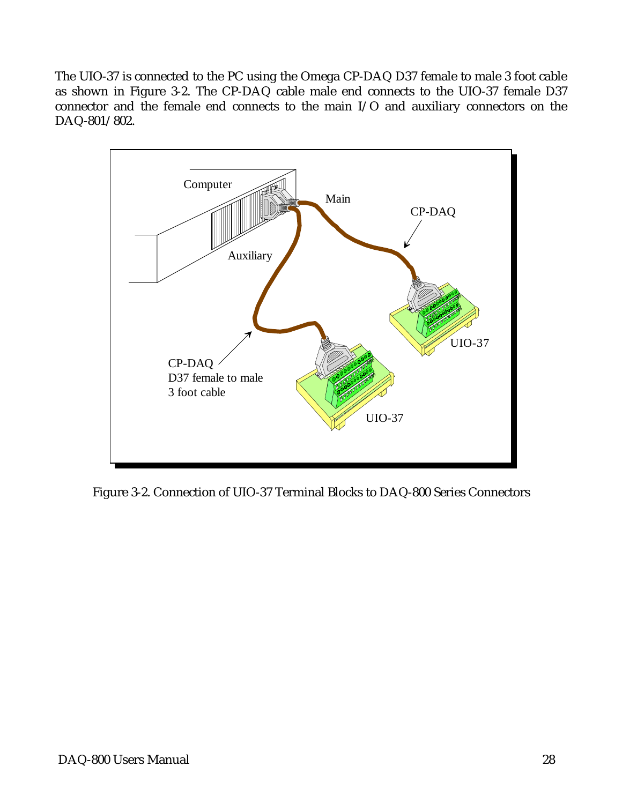The UIO-37 is connected to the PC using the Omega CP-DAQ D37 female to male 3 foot cable as shown in Figure 3-2. The CP-DAQ cable male end connects to the UIO-37 female D37 connector and the female end connects to the main I/O and auxiliary connectors on the DAQ-801/802.



Figure 3-2. Connection of UIO-37 Terminal Blocks to DAQ-800 Series Connectors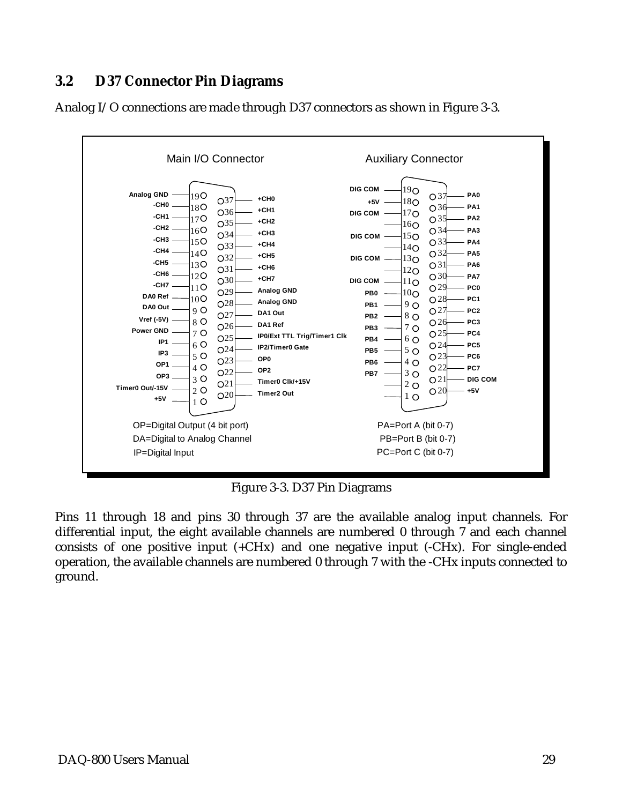# <span id="page-28-0"></span>**3.2 D37 Connector Pin Diagrams**





Figure 3-3. D37 Pin Diagrams

Pins 11 through 18 and pins 30 through 37 are the available analog input channels. For differential input, the eight available channels are numbered 0 through 7 and each channel consists of one positive input  $(+CHx)$  and one negative input  $(-CHx)$ . For single-ended operation, the available channels are numbered 0 through 7 with the -CHx inputs connected to ground.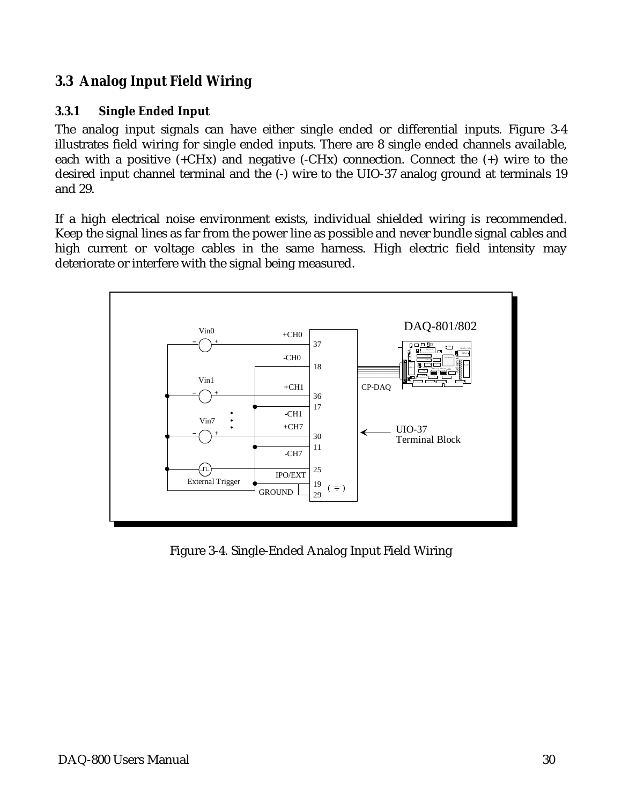# **3.3 Analog Input Field Wiring**

#### **3.3.1 Single Ended Input**

The analog input signals can have either single ended or differential inputs. Figure 3-4 illustrates field wiring for single ended inputs. There are 8 single ended channels available, each with a positive  $(+CHx)$  and negative  $(-CHx)$  connection. Connect the  $(+)$  wire to the desired input channel terminal and the (-) wire to the UIO-37 analog ground at terminals 19 and 29.

If a high electrical noise environment exists, individual shielded wiring is recommended. Keep the signal lines as far from the power line as possible and never bundle signal cables and high current or voltage cables in the same harness. High electric field intensity may deteriorate or interfere with the signal being measured.



Figure 3-4. Single-Ended Analog Input Field Wiring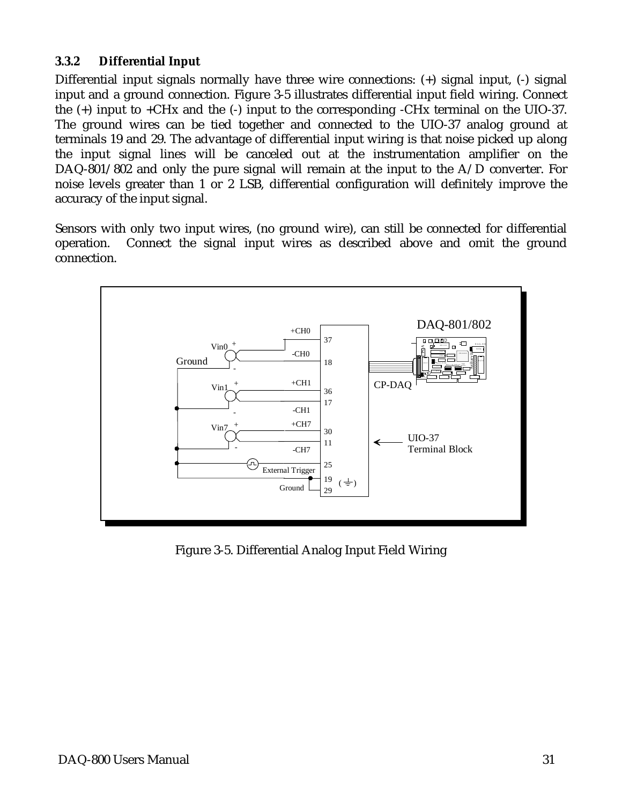#### **3.3.2 Differential Input**

Differential input signals normally have three wire connections: (+) signal input, (-) signal input and a ground connection. Figure 3-5 illustrates differential input field wiring. Connect the (+) input to +CHx and the (-) input to the corresponding -CHx terminal on the UIO-37. The ground wires can be tied together and connected to the UIO-37 analog ground at terminals 19 and 29. The advantage of differential input wiring is that noise picked up along the input signal lines will be canceled out at the instrumentation amplifier on the DAQ-801/802 and only the pure signal will remain at the input to the A/D converter. For noise levels greater than 1 or 2 LSB, differential configuration will definitely improve the accuracy of the input signal.

Sensors with only two input wires, (no ground wire), can still be connected for differential operation. Connect the signal input wires as described above and omit the ground connection.



Figure 3-5. Differential Analog Input Field Wiring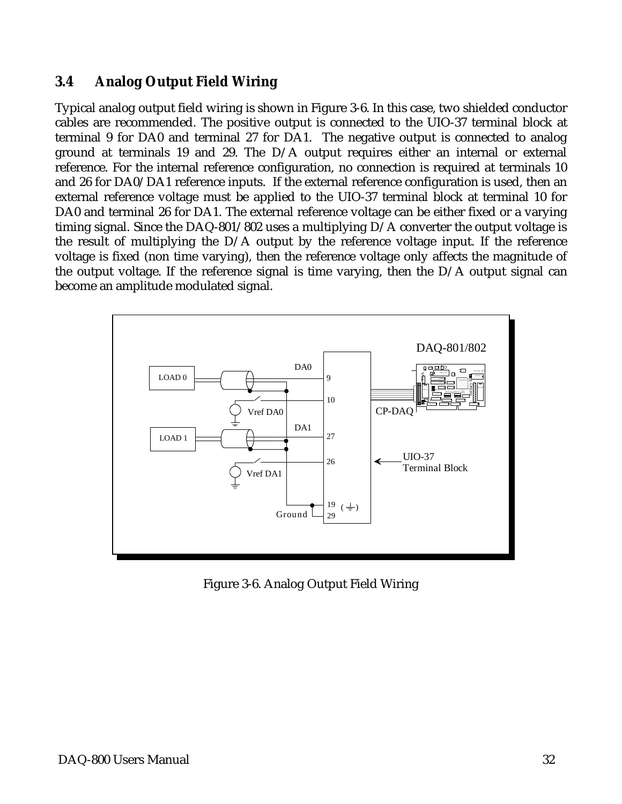# **3.4 Analog Output Field Wiring**

Typical analog output field wiring is shown in Figure 3-6. In this case, two shielded conductor cables are recommended. The positive output is connected to the UIO-37 terminal block at terminal 9 for DA0 and terminal 27 for DA1. The negative output is connected to analog ground at terminals 19 and 29. The D/A output requires either an internal or external reference. For the internal reference configuration, no connection is required at terminals 10 and 26 for DA0/DA1 reference inputs. If the external reference configuration is used, then an external reference voltage must be applied to the UIO-37 terminal block at terminal 10 for DA0 and terminal 26 for DA1. The external reference voltage can be either fixed or a varying timing signal. Since the DAQ-801/802 uses a multiplying D/A converter the output voltage is the result of multiplying the D/A output by the reference voltage input. If the reference voltage is fixed (non time varying), then the reference voltage only affects the magnitude of the output voltage. If the reference signal is time varying, then the D/A output signal can become an amplitude modulated signal.



Figure 3-6. Analog Output Field Wiring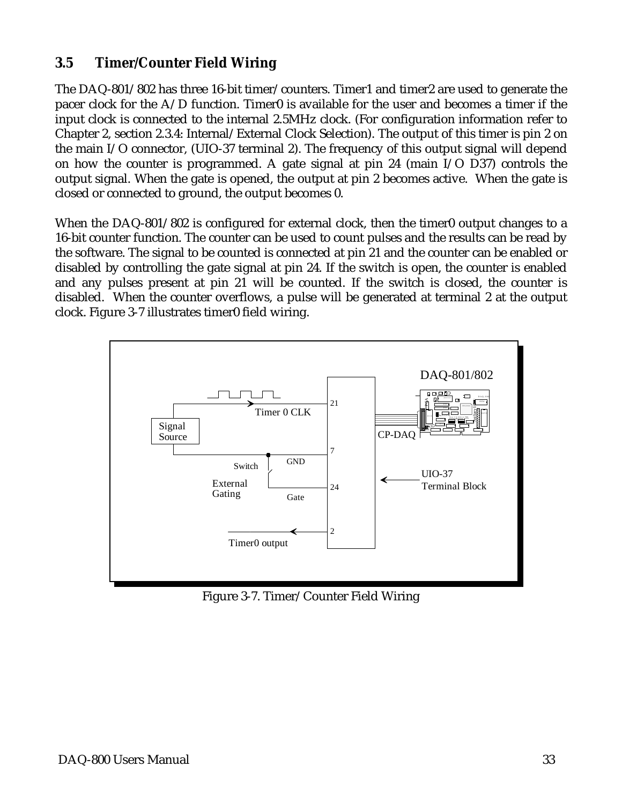# **3.5 Timer/Counter Field Wiring**

The DAQ-801/802 has three 16-bit timer/counters. Timer1 and timer2 are used to generate the pacer clock for the  $A/D$  function. Timer0 is available for the user and becomes a timer if the input clock is connected to the internal 2.5MHz clock. (For configuration information refer to Chapter 2, section 2.3.4: Internal/External Clock Selection). The output of this timer is pin 2 on the main I/O connector, (UIO-37 terminal 2). The frequency of this output signal will depend on how the counter is programmed. A gate signal at pin 24 (main I/O D37) controls the output signal. When the gate is opened, the output at pin 2 becomes active. When the gate is closed or connected to ground, the output becomes 0.

When the DAQ-801/802 is configured for external clock, then the timer0 output changes to a 16-bit counter function. The counter can be used to count pulses and the results can be read by the software. The signal to be counted is connected at pin 21 and the counter can be enabled or disabled by controlling the gate signal at pin 24. If the switch is open, the counter is enabled and any pulses present at pin 21 will be counted. If the switch is closed, the counter is disabled. When the counter overflows, a pulse will be generated at terminal 2 at the output clock. Figure 3-7 illustrates timer0 field wiring.



Figure 3-7. Timer/Counter Field Wiring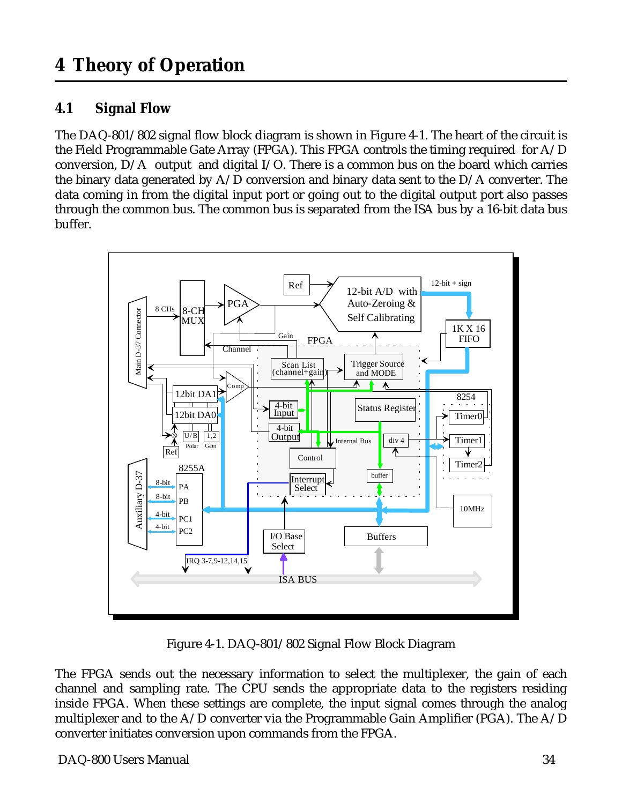# <span id="page-33-0"></span>**4.1 Signal Flow**

The DAQ-801/802 signal flow block diagram is shown in Figure 4-1. The heart of the circuit is the Field Programmable Gate Array (FPGA). This FPGA controls the timing required for A/D conversion, D/A output and digital I/O. There is a common bus on the board which carries the binary data generated by  $A/D$  conversion and binary data sent to the  $D/A$  converter. The data coming in from the digital input port or going out to the digital output port also passes through the common bus. The common bus is separated from the ISA bus by a 16-bit data bus buffer.



Figure 4-1. DAQ-801/802 Signal Flow Block Diagram

The FPGA sends out the necessary information to select the multiplexer, the gain of each channel and sampling rate. The CPU sends the appropriate data to the registers residing inside FPGA. When these settings are complete, the input signal comes through the analog multiplexer and to the  $A/D$  converter via the Programmable Gain Amplifier (PGA). The  $A/D$ converter initiates conversion upon commands from the FPGA.

DAQ-800 Users Manual 34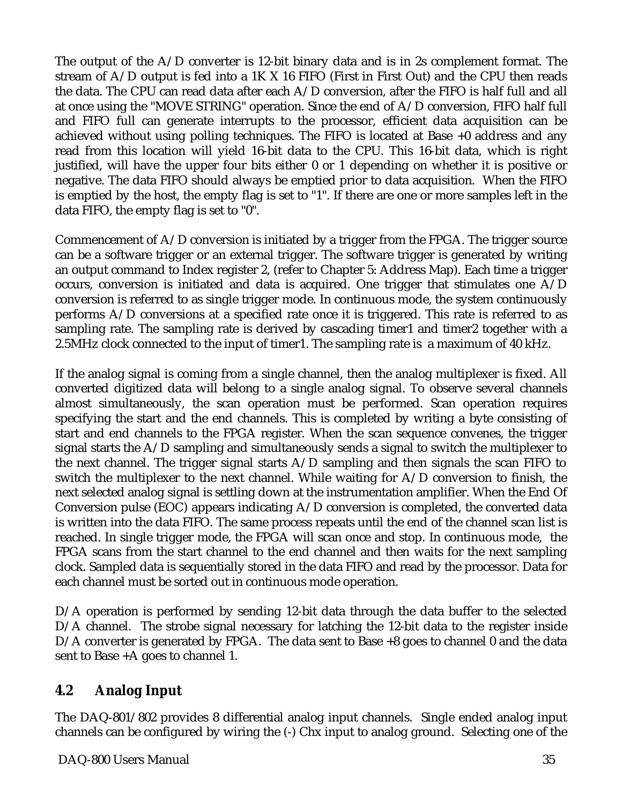The output of the  $A/D$  converter is 12-bit binary data and is in 2s complement format. The stream of  $A/D$  output is fed into a 1K X 16 FIFO (First in First Out) and the CPU then reads the data. The CPU can read data after each A/D conversion, after the FIFO is half full and all at once using the "MOVE STRING" operation. Since the end of A/D conversion, FIFO half full and FIFO full can generate interrupts to the processor, efficient data acquisition can be achieved without using polling techniques. The FIFO is located at Base +0 address and any read from this location will yield 16-bit data to the CPU. This 16-bit data, which is right justified, will have the upper four bits either 0 or 1 depending on whether it is positive or negative. The data FIFO should always be emptied prior to data acquisition. When the FIFO is emptied by the host, the empty flag is set to "1". If there are one or more samples left in the data FIFO, the empty flag is set to "0".

Commencement of A/D conversion is initiated by a trigger from the FPGA. The trigger source can be a software trigger or an external trigger. The software trigger is generated by writing an output command to Index register 2, (refer to Chapter 5: Address Map). Each time a trigger occurs, conversion is initiated and data is acquired. One trigger that stimulates one A/D conversion is referred to as single trigger mode. In continuous mode, the system continuously performs A/D conversions at a specified rate once it is triggered. This rate is referred to as sampling rate. The sampling rate is derived by cascading timer1 and timer2 together with a 2.5MHz clock connected to the input of timer1. The sampling rate is a maximum of 40 kHz.

If the analog signal is coming from a single channel, then the analog multiplexer is fixed. All converted digitized data will belong to a single analog signal. To observe several channels almost simultaneously, the scan operation must be performed. Scan operation requires specifying the start and the end channels. This is completed by writing a byte consisting of start and end channels to the FPGA register. When the scan sequence convenes, the trigger signal starts the A/D sampling and simultaneously sends a signal to switch the multiplexer to the next channel. The trigger signal starts A/D sampling and then signals the scan FIFO to switch the multiplexer to the next channel. While waiting for A/D conversion to finish, the next selected analog signal is settling down at the instrumentation amplifier. When the End Of Conversion pulse (EOC) appears indicating A/D conversion is completed, the converted data is written into the data FIFO. The same process repeats until the end of the channel scan list is reached. In single trigger mode, the FPGA will scan once and stop. In continuous mode, the FPGA scans from the start channel to the end channel and then waits for the next sampling clock. Sampled data is sequentially stored in the data FIFO and read by the processor. Data for each channel must be sorted out in continuous mode operation.

D/A operation is performed by sending 12-bit data through the data buffer to the selected D/A channel. The strobe signal necessary for latching the 12-bit data to the register inside D/A converter is generated by FPGA. The data sent to Base +8 goes to channel 0 and the data sent to Base +A goes to channel 1.

# **4.2 Analog Input**

The DAQ-801/802 provides 8 differential analog input channels. Single ended analog input channels can be configured by wiring the (-) Chx input to analog ground. Selecting one of the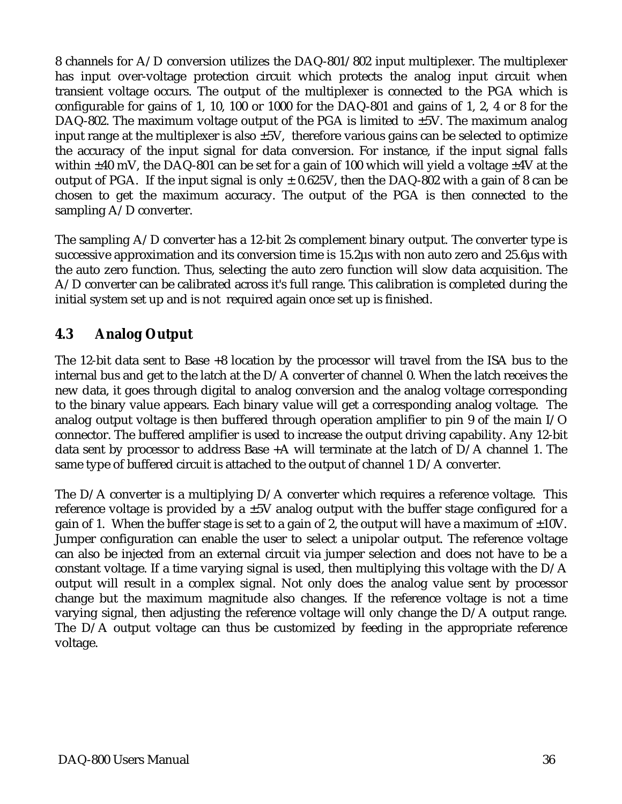8 channels for A/D conversion utilizes the DAQ-801/802 input multiplexer. The multiplexer has input over-voltage protection circuit which protects the analog input circuit when transient voltage occurs. The output of the multiplexer is connected to the PGA which is configurable for gains of 1, 10, 100 or 1000 for the DAQ-801 and gains of 1, 2, 4 or 8 for the DAQ-802. The maximum voltage output of the PGA is limited to  $\pm$ 5V. The maximum analog input range at the multiplexer is also  $\pm 5V$ , therefore various gains can be selected to optimize the accuracy of the input signal for data conversion. For instance, if the input signal falls within  $\pm 40$  mV, the DAQ-801 can be set for a gain of 100 which will yield a voltage  $\pm 4V$  at the output of PGA. If the input signal is only  $\pm$  0.625V, then the DAQ-802 with a gain of 8 can be chosen to get the maximum accuracy. The output of the PGA is then connected to the sampling A/D converter.

The sampling A/D converter has a 12-bit 2s complement binary output. The converter type is successive approximation and its conversion time is 15.2µs with non auto zero and 25.6µs with the auto zero function. Thus, selecting the auto zero function will slow data acquisition. The A/D converter can be calibrated across it's full range. This calibration is completed during the initial system set up and is not required again once set up is finished.

# **4.3 Analog Output**

The 12-bit data sent to Base +8 location by the processor will travel from the ISA bus to the internal bus and get to the latch at the D/A converter of channel 0. When the latch receives the new data, it goes through digital to analog conversion and the analog voltage corresponding to the binary value appears. Each binary value will get a corresponding analog voltage. The analog output voltage is then buffered through operation amplifier to pin 9 of the main I/O connector. The buffered amplifier is used to increase the output driving capability. Any 12-bit data sent by processor to address Base +A will terminate at the latch of D/A channel 1. The same type of buffered circuit is attached to the output of channel 1 D/A converter.

The D/A converter is a multiplying D/A converter which requires a reference voltage. This reference voltage is provided by a  $\pm 5V$  analog output with the buffer stage configured for a gain of 1. When the buffer stage is set to a gain of 2, the output will have a maximum of  $\pm 10$ V. Jumper configuration can enable the user to select a unipolar output. The reference voltage can also be injected from an external circuit via jumper selection and does not have to be a constant voltage. If a time varying signal is used, then multiplying this voltage with the D/A output will result in a complex signal. Not only does the analog value sent by processor change but the maximum magnitude also changes. If the reference voltage is not a time varying signal, then adjusting the reference voltage will only change the D/A output range. The D/A output voltage can thus be customized by feeding in the appropriate reference voltage.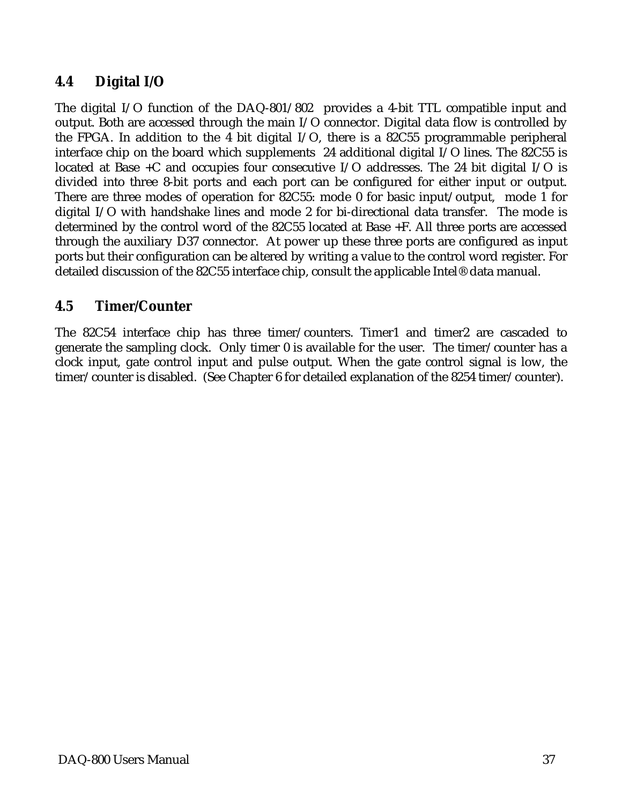# **4.4 Digital I/O**

The digital I/O function of the DAQ-801/802 provides a 4-bit TTL compatible input and output. Both are accessed through the main I/O connector. Digital data flow is controlled by the FPGA. In addition to the 4 bit digital I/O, there is a 82C55 programmable peripheral interface chip on the board which supplements 24 additional digital I/O lines. The 82C55 is located at Base +C and occupies four consecutive I/O addresses. The 24 bit digital I/O is divided into three 8-bit ports and each port can be configured for either input or output. There are three modes of operation for 82C55: mode 0 for basic input/output, mode 1 for digital I/O with handshake lines and mode 2 for bi-directional data transfer. The mode is determined by the control word of the 82C55 located at Base +F. All three ports are accessed through the auxiliary D37 connector. At power up these three ports are configured as input ports but their configuration can be altered by writing a value to the control word register. For detailed discussion of the 82C55 interface chip, consult the applicable Intel® data manual.

# **4.5 Timer/Counter**

The 82C54 interface chip has three timer/counters. Timer1 and timer2 are cascaded to generate the sampling clock. Only timer 0 is available for the user. The timer/counter has a clock input, gate control input and pulse output. When the gate control signal is low, the timer/counter is disabled. (See Chapter 6 for detailed explanation of the 8254 timer/counter).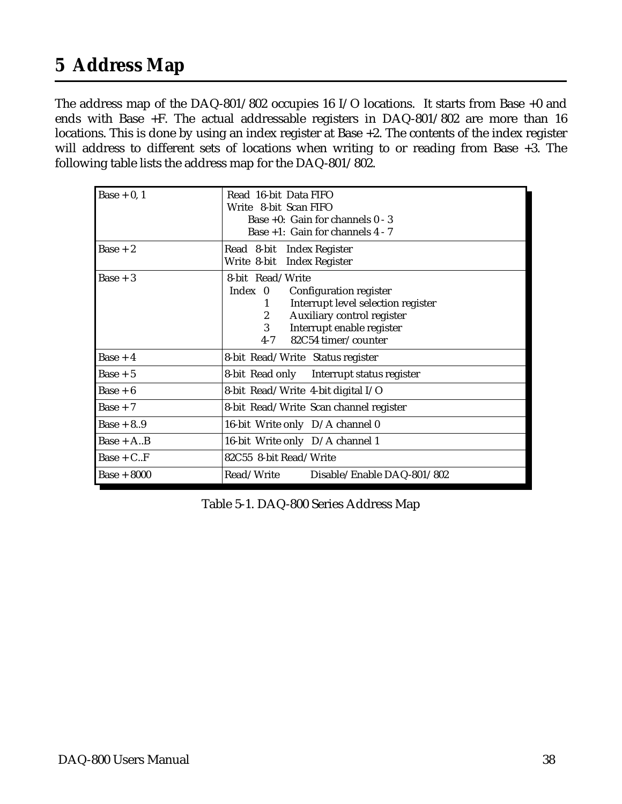# <span id="page-37-0"></span>**5 Address Map**

The address map of the DAQ-801/802 occupies 16 I/O locations. It starts from Base +0 and ends with Base +F. The actual addressable registers in DAQ-801/802 are more than 16 locations. This is done by using an index register at Base +2. The contents of the index register will address to different sets of locations when writing to or reading from Base +3. The following table lists the address map for the DAQ-801/802.

| $\text{Base} + 0$ , 1 | Read 16-bit Data FIFO<br>Write 8-bit Scan FIFO<br>Base $+0$ : Gain for channels $0 - 3$<br>Base +1: Gain for channels 4 - 7                                                                                     |
|-----------------------|-----------------------------------------------------------------------------------------------------------------------------------------------------------------------------------------------------------------|
| $Base + 2$            | Read 8-bit Index Register<br>Write 8-bit Index Register                                                                                                                                                         |
| $Base + 3$            | 8-bit Read/Write<br>Index 0 Configuration register<br>Interrupt level selection register<br>1<br>Auxiliary control register<br>$\mathbf{2}$<br>3<br>Interrupt enable register<br>82C54 timer/counter<br>$4 - 7$ |
| $Base + 4$            | 8-bit Read/Write Status register                                                                                                                                                                                |
| $Base + 5$            | 8-bit Read only Interrupt status register                                                                                                                                                                       |
| $Base + 6$            | 8-bit Read/Write 4-bit digital I/O                                                                                                                                                                              |
| $Base + 7$            | 8-bit Read/Write Scan channel register                                                                                                                                                                          |
| $Base + 8.9$          | 16-bit Write only D/A channel 0                                                                                                                                                                                 |
| $Base + A.B$          | 16-bit Write only D/A channel 1                                                                                                                                                                                 |
| $Base + C.F$          | 82C55 8-bit Read/Write                                                                                                                                                                                          |
| <b>Base + 8000</b>    | Read/Write<br>Disable/Enable DAQ-801/802                                                                                                                                                                        |

Table 5-1. DAQ-800 Series Address Map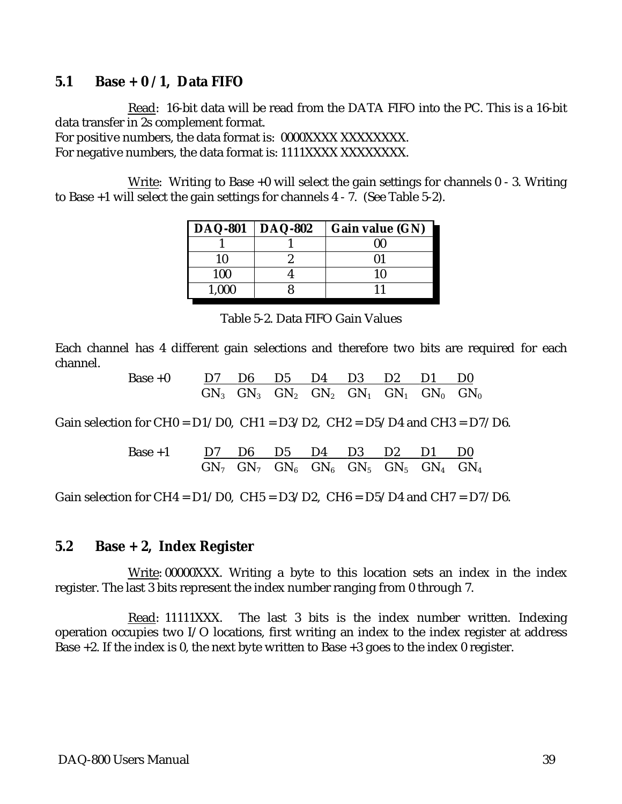#### **5.1 Base + 0 / 1, Data FIFO**

Read: 16-bit data will be read from the DATA FIFO into the PC. This is a 16-bit data transfer in 2s complement format. For positive numbers, the data format is: 0000XXXX XXXXXXXX.

For negative numbers, the data format is: 1111XXXX XXXXXXXX.

Write: Writing to Base  $+0$  will select the gain settings for channels  $0 - 3$ . Writing to Base +1 will select the gain settings for channels 4 - 7. (See Table 5-2).

| <b>DAQ-801</b> | <b>DAQ-802</b> | Gain value (GN) |
|----------------|----------------|-----------------|
|                |                | 00              |
| 10             |                |                 |
| 100            |                | 10              |
| 1,000          |                |                 |

Table 5-2. Data FIFO Gain Values

Each channel has 4 different gain selections and therefore two bits are required for each channel.

> Base +0 D7 D6 D5 D4 D3 D2 D1 D0  $\mathrm{GN}_3$   $\mathrm{GN}_3$   $\mathrm{GN}_2$   $\mathrm{GN}_2$   $\mathrm{GN}_1$   $\mathrm{GN}_1$   $\mathrm{GN}_0$   $\mathrm{GN}_0$

Gain selection for CH0 =  $D1/D0$ , CH1 =  $D3/D2$ , CH2 =  $D5/D4$  and CH3 =  $D7/D6$ .

| Base +1 | $\underline{D7}$ | $\underline{D6}$ | $\underline{D5}$ | $\underline{D4}$ | $\underline{D3}$ | $\underline{D2}$ | $\underline{D1}$ | $\underline{D0}$ |
|---------|------------------|------------------|------------------|------------------|------------------|------------------|------------------|------------------|
| $GN_7$  | $GN_7$           | $GN_6$           | $GN_6$           | $GN_5$           | $GN_5$           | $GN_4$           | $GN_4$           |                  |

Gain selection for CH4 =  $D1/D0$ , CH5 =  $D3/D2$ , CH6 =  $D5/D4$  and CH7 =  $D7/D6$ .

#### **5.2 Base + 2, Index Register**

Write: 00000XXX. Writing a byte to this location sets an index in the index register. The last 3 bits represent the index number ranging from 0 through 7.

Read: 11111XXX. The last 3 bits is the index number written. Indexing operation occupies two I/O locations, first writing an index to the index register at address Base +2. If the index is 0, the next byte written to Base +3 goes to the index 0 register.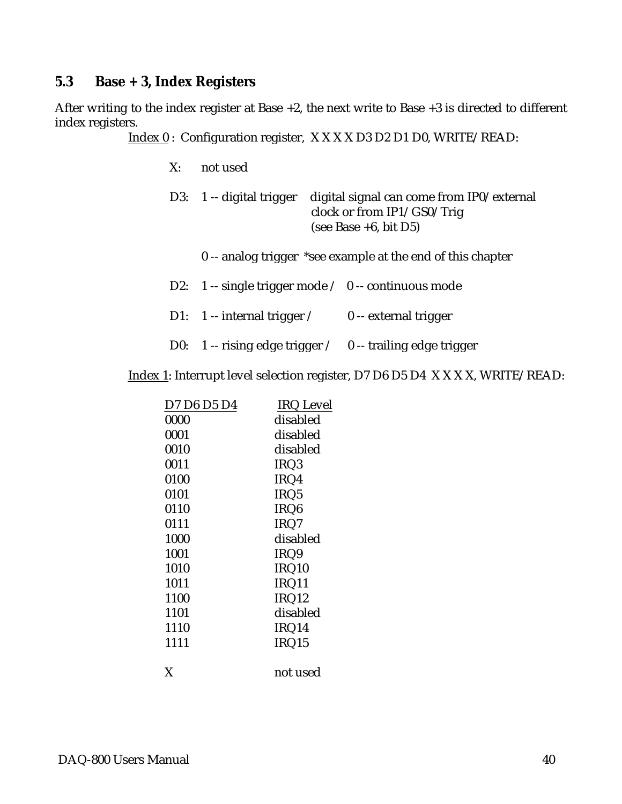### **5.3 Base + 3, Index Registers**

After writing to the index register at Base +2, the next write to Base +3 is directed to different index registers.

Index 0 : Configuration register, X X X X D3 D2 D1 D0, WRITE/READ:

X: not used

|  | D3: 1 -- digital trigger digital signal can come from IP0/external |
|--|--------------------------------------------------------------------|
|  | clock or from $IP1/GSO/T$ rig                                      |
|  | (see Base $+6$ , bit D5)                                           |
|  |                                                                    |

- 0 -- analog trigger \*see example at the end of this chapter
- D2: 1 -- single trigger mode / 0 -- continuous mode
- D1: 1 -- internal trigger / 0 -- external trigger
- D0: 1 -- rising edge trigger / 0 -- trailing edge trigger

Index 1: Interrupt level selection register, D7 D6 D5 D4 X X X X, WRITE/READ:

| D7 D6 D5 D4 | <b>IRQ</b> Level |
|-------------|------------------|
| 0000        | disabled         |
| 0001        | disabled         |
| 0010        | disabled         |
| 0011        | IRQ3             |
| 0100        | IRQ4             |
| 0101        | IRQ <sub>5</sub> |
| 0110        | IRQ <sub>6</sub> |
| 0111        | IRQ7             |
| 1000        | disabled         |
| 1001        | IRQ9             |
| 1010        | IRQ10            |
| 1011        | IRQ11            |
| 1100        | IRQ12            |
| 1101        | disabled         |
| 1110        | IRQ14            |
| 1111        | IRQ15            |
| X           | not used         |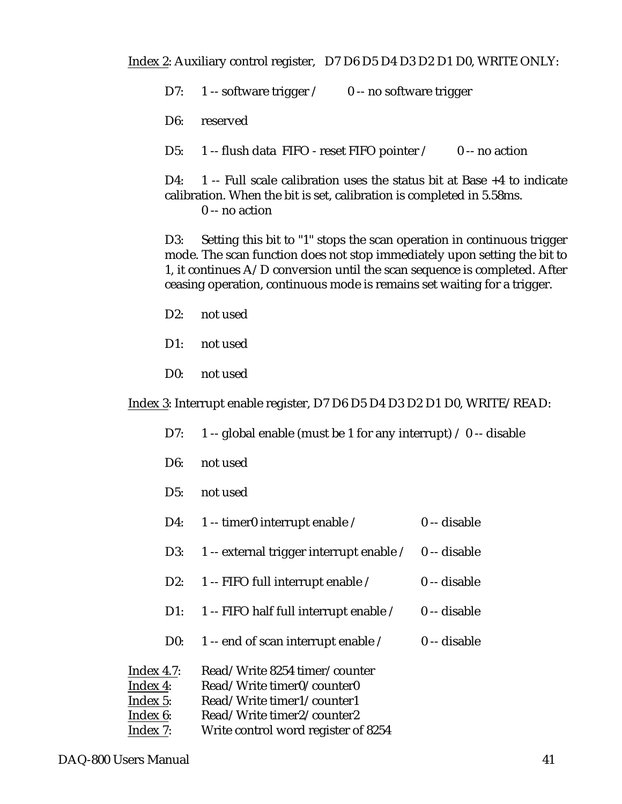Index 2: Auxiliary control register, D7 D6 D5 D4 D3 D2 D1 D0, WRITE ONLY:

D7:  $1$  -- software trigger  $/$  0 -- no software trigger

D6: reserved

D5: 1 -- flush data FIFO - reset FIFO pointer / 0 -- no action

D4: 1 -- Full scale calibration uses the status bit at Base +4 to indicate calibration. When the bit is set, calibration is completed in 5.58ms. 0 -- no action

D3: Setting this bit to "1" stops the scan operation in continuous trigger mode. The scan function does not stop immediately upon setting the bit to 1, it continues  $A/D$  conversion until the scan sequence is completed. After ceasing operation, continuous mode is remains set waiting for a trigger.

- D2: not used
- D1: not used
- D0: not used

Index 3: Interrupt enable register, D7 D6 D5 D4 D3 D2 D1 D0, WRITE/READ:

- D7: 1 -- global enable (must be 1 for any interrupt)  $\neq$  0 -- disable
- D6: not used
- D5: not used
- D4:  $1$  -- timer0 interrupt enable  $\ell$  0 -- disable
- D3: 1 -- external trigger interrupt enable / 0 -- disable
- D2: 1 -- FIFO full interrupt enable / 0 -- disable
- D1:  $1 -$  FIFO half full interrupt enable  $\ell \ 0 -$  disable
- D0:  $1$  -- end of scan interrupt enable  $\ell$  0 -- disable

| Index $4.7$ : | Read/Write 8254 timer/counter       |
|---------------|-------------------------------------|
| Index 4:      | Read/Write timer0/counter0          |
| Index 5:      | Read/Write timer1/counter1          |
| Index 6:      | Read/Write timer2/counter2          |
| Index 7:      | Write control word register of 8254 |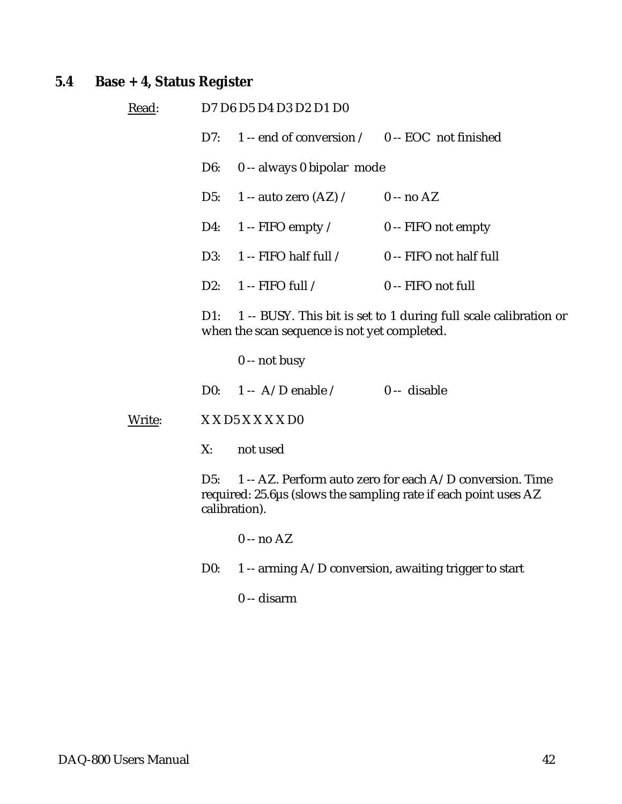# **5.4 Base + 4, Status Register**

| Read:  |        | D7 D6 D5 D4 D3 D2 D1 D0                            |                                                                                                                             |
|--------|--------|----------------------------------------------------|-----------------------------------------------------------------------------------------------------------------------------|
|        | D7:    | 1 -- end of conversion $/$ 0 -- EOC not finished   |                                                                                                                             |
|        | D6:    | 0 -- always 0 bipolar mode                         |                                                                                                                             |
|        |        | D5: $1 - \text{auto zero (AZ)} / 0 - \text{no AZ}$ |                                                                                                                             |
|        | D4:    | 1 -- FIFO empty $\angle$                           | $0 -$ FIFO not empty                                                                                                        |
|        | D3:    | 1 -- FIFO half full $/$ 0 -- FIFO not half full    |                                                                                                                             |
|        |        | D2: $1 -$ FIFO full /                              | 0 -- FIFO not full                                                                                                          |
|        | $D1$ : | when the scan sequence is not yet completed.       | 1 -- BUSY. This bit is set to 1 during full scale calibration or                                                            |
|        |        | $0 - not busy$                                     |                                                                                                                             |
|        |        | D0: $1 - A/D$ enable / 0 -- disable                |                                                                                                                             |
| Write: |        | X X D5 X X X X D0                                  |                                                                                                                             |
|        | X:     | not used                                           |                                                                                                                             |
|        | D5:    | calibration).                                      | 1 -- AZ. Perform auto zero for each A/D conversion. Time<br>required: 25.6μs (slows the sampling rate if each point uses AZ |
|        |        | $0 - no AZ$                                        |                                                                                                                             |
|        | D0:    |                                                    | 1 -- arming $A/D$ conversion, awaiting trigger to start                                                                     |
|        |        |                                                    |                                                                                                                             |

0 -- disarm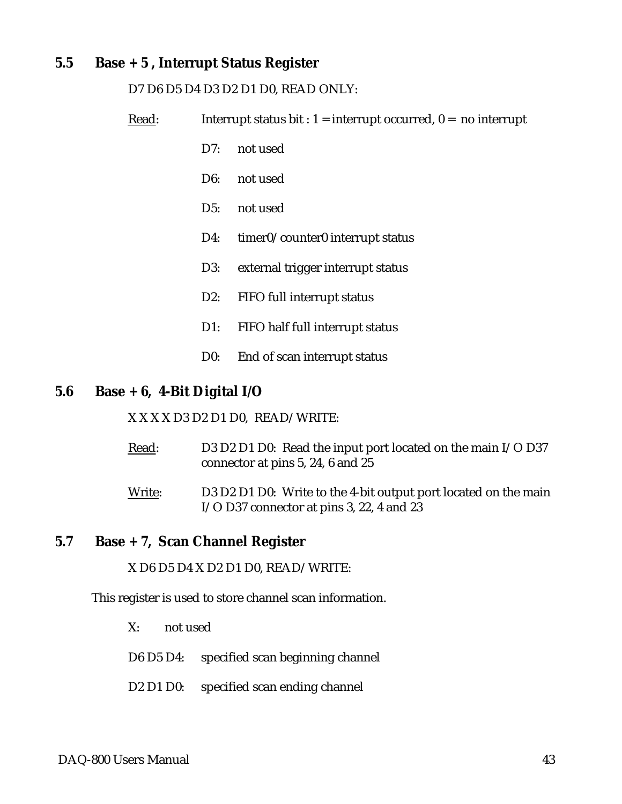### <span id="page-42-0"></span>**5.5 Base + 5 , Interrupt Status Register**

#### D7 D6 D5 D4 D3 D2 D1 D0, READ ONLY:

Read: Interrupt status bit :  $1 =$  interrupt occurred,  $0 =$  no interrupt

- D7: not used
- D6: not used
- D5: not used
- D4: timer0/counter0 interrupt status
- D3: external trigger interrupt status
- D2: FIFO full interrupt status
- D1: FIFO half full interrupt status
- D0: End of scan interrupt status

#### **5.6 Base + 6, 4-Bit Digital I/O**

X X X X D3 D2 D1 D0, READ/WRITE:

- Read: D3 D2 D1 D0: Read the input port located on the main I/O D37 connector at pins 5, 24, 6 and 25
- Write: D3 D2 D1 D0: Write to the 4-bit output port located on the main I/O D37 connector at pins 3, 22, 4 and 23

#### **5.7 Base + 7, Scan Channel Register**

X D6 D5 D4 X D2 D1 D0, READ/WRITE:

This register is used to store channel scan information.

- X: not used
- D6 D5 D4: specified scan beginning channel
- D2 D1 D0: specified scan ending channel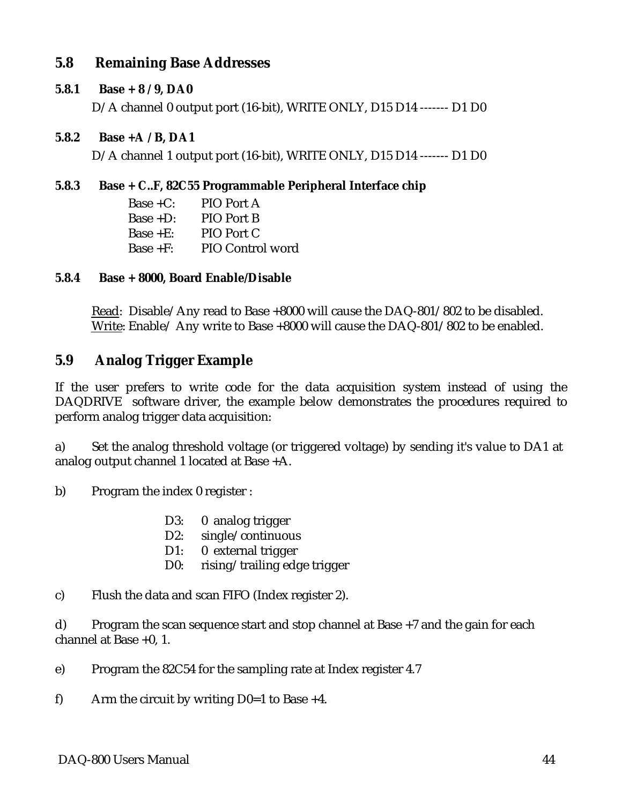# **5.8 Remaining Base Addresses**

#### **5.8.1 Base + 8 / 9, DA0**

D/A channel 0 output port (16-bit), WRITE ONLY, D15 D14 ------- D1 D0

#### **5.8.2 Base +A / B, DA1**

D/A channel 1 output port (16-bit), WRITE ONLY, D15 D14 ------- D1 D0

#### **5.8.3 Base + C..F, 82C55 Programmable Peripheral Interface chip**

| $Base + C$ : | PIO Port A              |
|--------------|-------------------------|
| $Base + D$ : | PIO Port B              |
| Base $+E$ :  | PIO Port C              |
| Base $+F$ :  | <b>PIO Control word</b> |

#### **5.8.4 Base + 8000, Board Enable/Disable**

Read: Disable/Any read to Base +8000 will cause the DAQ-801/802 to be disabled. Write: Enable/ Any write to Base +8000 will cause the DAQ-801/802 to be enabled.

#### **5.9 Analog Trigger Example**

If the user prefers to write code for the data acquisition system instead of using the DAQDRIVE software driver, the example below demonstrates the procedures required to perform analog trigger data acquisition:

a) Set the analog threshold voltage (or triggered voltage) by sending it's value to DA1 at analog output channel 1 located at Base +A.

b) Program the index 0 register :

- D3: 0 analog trigger
- D2: single/continuous
- D1: 0 external trigger
- D0: rising/trailing edge trigger
- c) Flush the data and scan FIFO (Index register 2).

d) Program the scan sequence start and stop channel at Base +7 and the gain for each channel at Base +0, 1.

e) Program the 82C54 for the sampling rate at Index register 4.7

f) Arm the circuit by writing  $D0=1$  to Base +4.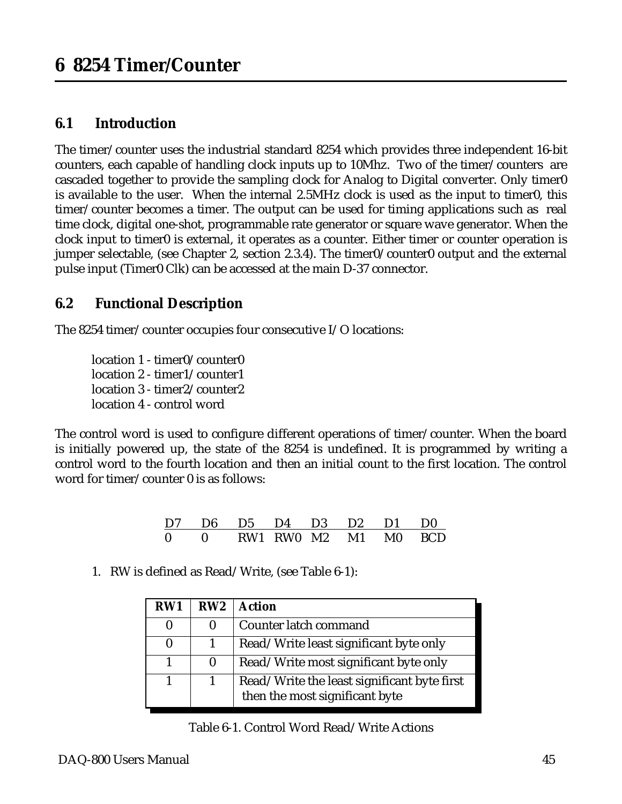# <span id="page-44-0"></span>**6.1 Introduction**

The timer/counter uses the industrial standard 8254 which provides three independent 16-bit counters, each capable of handling clock inputs up to 10Mhz. Two of the timer/counters are cascaded together to provide the sampling clock for Analog to Digital converter. Only timer0 is available to the user. When the internal 2.5MHz clock is used as the input to timer0, this timer/counter becomes a timer. The output can be used for timing applications such as real time clock, digital one-shot, programmable rate generator or square wave generator. When the clock input to timer0 is external, it operates as a counter. Either timer or counter operation is jumper selectable, (see Chapter 2, section 2.3.4). The timer0/counter0 output and the external pulse input (Timer0 Clk) can be accessed at the main D-37 connector.

# **6.2 Functional Description**

The 8254 timer/counter occupies four consecutive I/O locations:

location 1 - timer0/counter0 location 2 - timer1/counter1 location 3 - timer2/counter2 location 4 - control word

The control word is used to configure different operations of timer/counter. When the board is initially powered up, the state of the 8254 is undefined. It is programmed by writing a control word to the fourth location and then an initial count to the first location. The control word for timer/counter 0 is as follows:

| D7 D6 D5 D4 D3 D2 D1 D0 |  |                                                                          |  |  |
|-------------------------|--|--------------------------------------------------------------------------|--|--|
|                         |  | $0 \qquad 0 \qquad RWA \quad RWO \quad M2 \qquad M1 \qquad MO \quad BCD$ |  |  |

1. RW is defined as Read/Write, (see Table 6-1):

| RW1 | RW2          | <b>Action</b>                                                                 |
|-----|--------------|-------------------------------------------------------------------------------|
|     | $\mathbf{0}$ | Counter latch command                                                         |
|     |              | Read/Write least significant byte only                                        |
|     | $\mathbf{0}$ | Read/Write most significant byte only                                         |
|     |              | Read/Write the least significant byte first<br>then the most significant byte |

Table 6-1. Control Word Read/Write Actions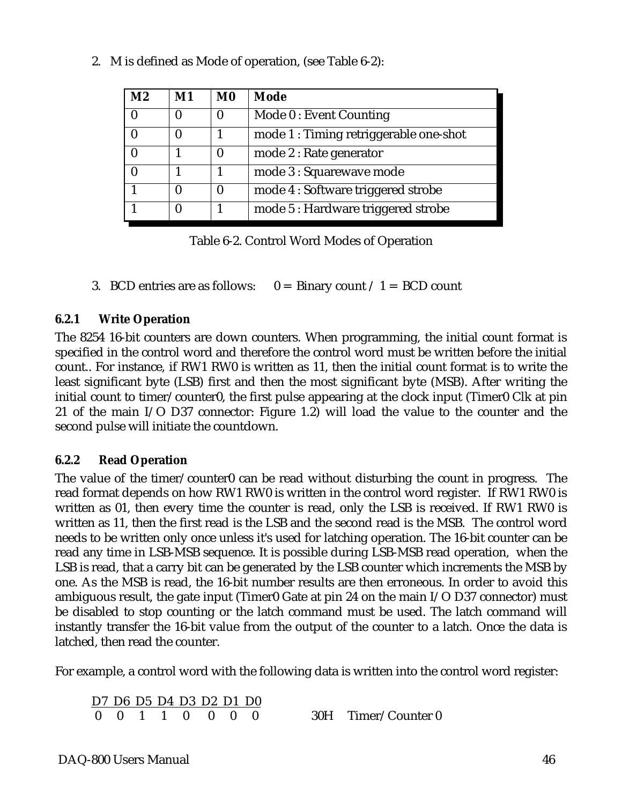| M <sub>2</sub>   | $\mathbf{M1}$ | M <sub>0</sub> | Mode                                   |
|------------------|---------------|----------------|----------------------------------------|
| $\boldsymbol{0}$ |               |                | Mode 0: Event Counting                 |
|                  |               |                | mode 1 : Timing retriggerable one-shot |
| $\boldsymbol{0}$ |               |                | mode 2 : Rate generator                |
| $\boldsymbol{0}$ |               |                | mode 3 : Squarewave mode               |
|                  |               |                | mode 4 : Software triggered strobe     |
|                  |               |                | mode 5 : Hardware triggered strobe     |

2. M is defined as Mode of operation, (see Table 6-2):

Table 6-2. Control Word Modes of Operation

3. BCD entries are as follows:  $0 = \text{Binary count} / 1 = \text{BCD count}$ 

#### **6.2.1 Write Operation**

The 8254 16-bit counters are down counters. When programming, the initial count format is specified in the control word and therefore the control word must be written before the initial count.. For instance, if RW1 RW0 is written as 11, then the initial count format is to write the least significant byte (LSB) first and then the most significant byte (MSB). After writing the initial count to timer/counter0, the first pulse appearing at the clock input (Timer0 Clk at pin 21 of the main I/O D37 connector: Figure 1.2) will load the value to the counter and the second pulse will initiate the countdown.

#### **6.2.2 Read Operation**

The value of the timer/counter0 can be read without disturbing the count in progress. The read format depends on how RW1 RW0 is written in the control word register. If RW1 RW0 is written as 01, then every time the counter is read, only the LSB is received. If RW1 RW0 is written as 11, then the first read is the LSB and the second read is the MSB. The control word needs to be written only once unless it's used for latching operation. The 16-bit counter can be read any time in LSB-MSB sequence. It is possible during LSB-MSB read operation, when the LSB is read, that a carry bit can be generated by the LSB counter which increments the MSB by one. As the MSB is read, the 16-bit number results are then erroneous. In order to avoid this ambiguous result, the gate input (Timer0 Gate at pin 24 on the main I/O D37 connector) must be disabled to stop counting or the latch command must be used. The latch command will instantly transfer the 16-bit value from the output of the counter to a latch. Once the data is latched, then read the counter.

For example, a control word with the following data is written into the control word register:

D7 D6 D5 D4 D3 D2 D1 D0 0 0 1 1 0 0 0 0 30H Timer/Counter 0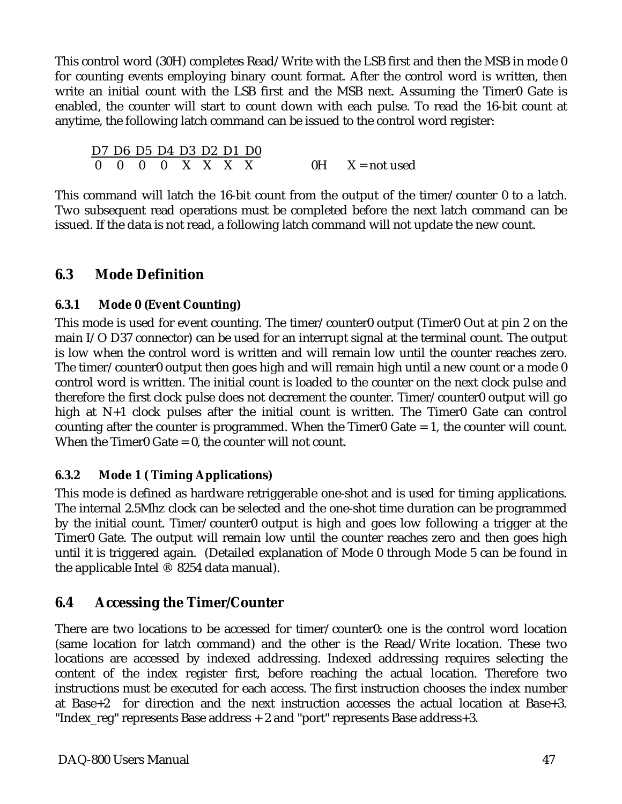This control word (30H) completes Read/Write with the LSB first and then the MSB in mode 0 for counting events employing binary count format. After the control word is written, then write an initial count with the LSB first and the MSB next. Assuming the Timer0 Gate is enabled, the counter will start to count down with each pulse. To read the 16-bit count at anytime, the following latch command can be issued to the control word register:

D7 D6 D5 D4 D3 D2 D1 D0  $0 \quad 0 \quad 0 \quad 0 \quad X \quad X \quad X \quad X$  0H  $X = \text{not used}$ 

This command will latch the 16-bit count from the output of the timer/counter 0 to a latch. Two subsequent read operations must be completed before the next latch command can be issued. If the data is not read, a following latch command will not update the new count.

# **6.3 Mode Definition**

### **6.3.1 Mode 0 (Event Counting)**

This mode is used for event counting. The timer/counter0 output (Timer0 Out at pin 2 on the main I/O D37 connector) can be used for an interrupt signal at the terminal count. The output is low when the control word is written and will remain low until the counter reaches zero. The timer/counter0 output then goes high and will remain high until a new count or a mode 0 control word is written. The initial count is loaded to the counter on the next clock pulse and therefore the first clock pulse does not decrement the counter. Timer/counter0 output will go high at N+1 clock pulses after the initial count is written. The Timer0 Gate can control counting after the counter is programmed. When the Timer0 Gate  $= 1$ , the counter will count. When the Timer0 Gate = 0, the counter will not count.

### **6.3.2 Mode 1 ( Timing Applications)**

This mode is defined as hardware retriggerable one-shot and is used for timing applications. The internal 2.5Mhz clock can be selected and the one-shot time duration can be programmed by the initial count. Timer/counter0 output is high and goes low following a trigger at the Timer0 Gate. The output will remain low until the counter reaches zero and then goes high until it is triggered again. (Detailed explanation of Mode 0 through Mode 5 can be found in the applicable Intel ® 8254 data manual).

# **6.4 Accessing the Timer/Counter**

There are two locations to be accessed for timer/counter0: one is the control word location (same location for latch command) and the other is the Read/Write location. These two locations are accessed by indexed addressing. Indexed addressing requires selecting the content of the index register first, before reaching the actual location. Therefore two instructions must be executed for each access. The first instruction chooses the index number at Base+2 for direction and the next instruction accesses the actual location at Base+3. "Index\_reg" represents Base address + 2 and "port" represents Base address+3.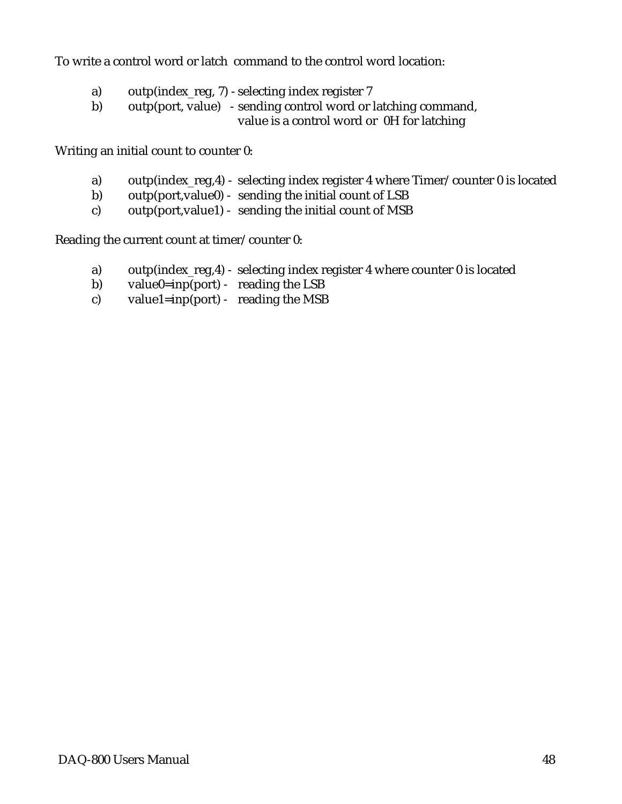To write a control word or latch command to the control word location:

- a) outp(index\_reg, 7) selecting index register 7
- b) outp(port, value) sending control word or latching command, value is a control word or 0H for latching

Writing an initial count to counter 0:

- a) outp(index\_reg,4) selecting index register 4 where Timer/counter 0 is located
- b) outp(port,value0) sending the initial count of LSB
- c) outp(port,value1) sending the initial count of MSB

Reading the current count at timer/counter 0:

- a) outp(index\_reg,4) selecting index register 4 where counter 0 is located
- b) value $0=$ inp(port) reading the LSB
- c) value1=inp(port) reading the MSB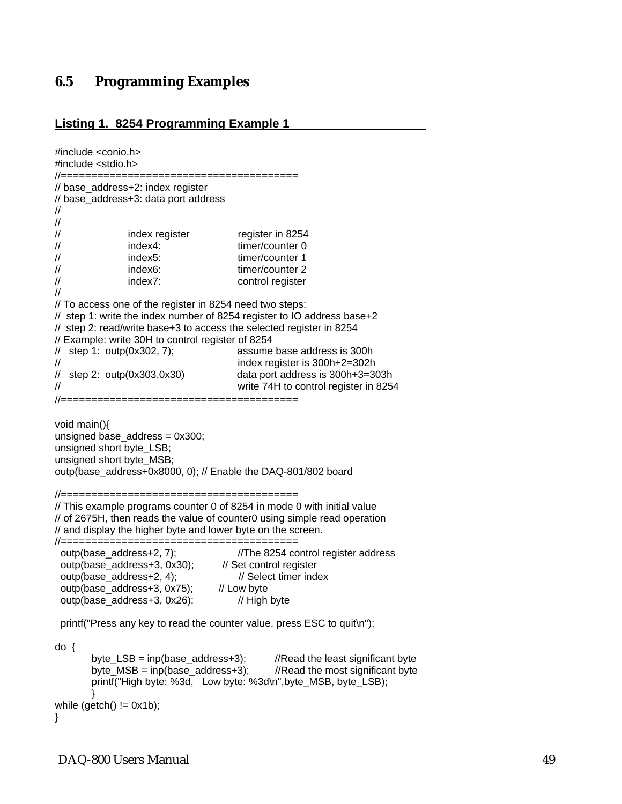### <span id="page-48-0"></span>**6.5 Programming Examples**

#### **Listing 1. 8254 Programming Example 1**

```
#include <conio.h> 
#include <stdio.h>
//=======================================
// base_address+2: index register 
// base_address+3: data port address 
// 
// 
// index register register in 8254 
// index4: timer/counter 0 
// index5: timer/counter 1 
// index6: timer/counter 2
// index7: control register 
// 
// To access one of the register in 8254 need two steps: 
// step 1: write the index number of 8254 register to IO address base+2 
// step 2: read/write base+3 to access the selected register in 8254 
// Example: write 30H to control register of 8254 
// step 1: outp(0x302, 7); assume base address is 300h
// index register is 300h+2=302h 
\frac{1}{2} step 2: outp(0x303,0x30) data port address is 300h+3=303h
// write 74H to control register in 8254 
//=======================================
void main(){
unsigned base_address = 0x300;
unsigned short byte_LSB;
unsigned short byte_MSB;
outp(base_address+0x8000, 0); // Enable the DAQ-801/802 board
//=======================================
// This example programs counter 0 of 8254 in mode 0 with initial value 
// of 2675H, then reads the value of counter0 using simple read operation 
// and display the higher byte and lower byte on the screen. 
//=======================================
 outp(base_address+2, 7); //The 8254 control register address
 outp(base_address+3, 0x30); // Set control register
 outp(base_address+2, 4);<br>outp(base_address+3, 0x75); // Low byte
 outp(base address+3, 0x75);
 outp(base_address+3, 0x26); // High byte
  printf("Press any key to read the counter value, press ESC to quit\n");
do {
       byte_LSB = inp(base_address+3); //Read the least significant bytebyte MSB = np(base address + 3); //Read the most significant byte
       printf("High byte: %3d, Low byte: %3d\n",byte_MSB, byte_LSB);
       }
while (getch() != 0x1b);}
```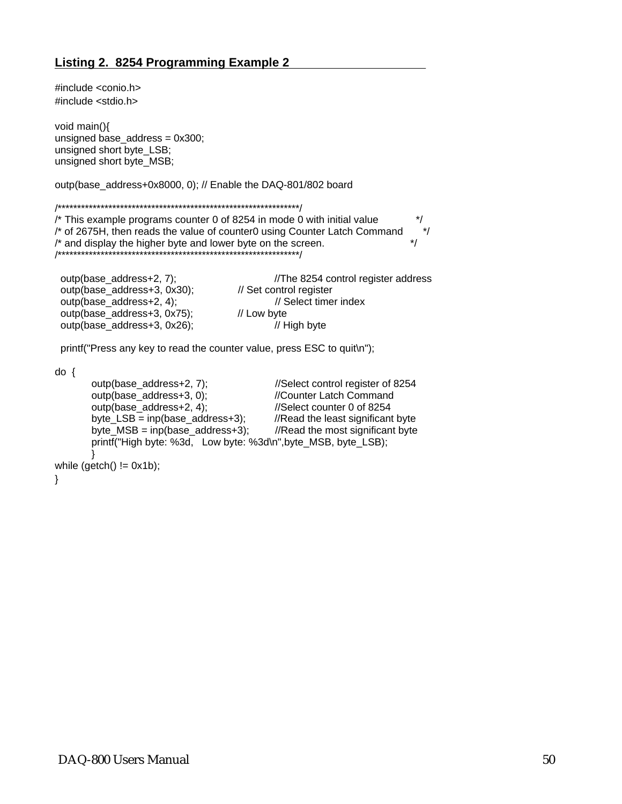#include <conio.h> #include <stdio.h> void main(){ unsigned base\_address = 0x300; unsigned short byte\_LSB; unsigned short byte\_MSB; outp(base\_address+0x8000, 0); // Enable the DAQ-801/802 board /\*\*\*\*\*\*\*\*\*\*\*\*\*\*\*\*\*\*\*\*\*\*\*\*\*\*\*\*\*\*\*\*\*\*\*\*\*\*\*\*\*\*\*\*\*\*\*\*\*\*\*\*\*\*\*\*\*\*\*\*\*\*/ /\* This example programs counter 0 of 8254 in mode 0 with initial value \*/ /\* of 2675H, then reads the value of counter0 using Counter Latch Command \*/  $\prime^*$  and display the higher byte and lower byte on the screen.  $\prime\prime$ /\*\*\*\*\*\*\*\*\*\*\*\*\*\*\*\*\*\*\*\*\*\*\*\*\*\*\*\*\*\*\*\*\*\*\*\*\*\*\*\*\*\*\*\*\*\*\*\*\*\*\*\*\*\*\*\*\*\*\*\*\*\*/ outp(base\_address+2, 7); //The 8254 control register address

outp(base\_address+3, 0x30);<br>outp(base\_address+2, 4); // Set control register<br>// Select timer index outp(base\_address+2, 4); outp(base\_address+3, 0x75); // Low byte outp(base\_address+3, 0x26); // High byte

printf("Press any key to read the counter value, press ESC to quit\n");

do {

outp(base\_address+2, 7); //Select control register of 8254 outp(base\_address+3, 0); //Counter Latch Command outp(base\_address+2, 4); //Select counter 0 of 8254 byte\_LSB = inp(base\_address+3);  $//Read the least significant byte$ byte  $MSB = np(base address + 3);$  //Read the most significant byte printf("High byte: %3d, Low byte: %3d\n",byte\_MSB, byte\_LSB); } while  $(getch() != 0x1b);$ 

}